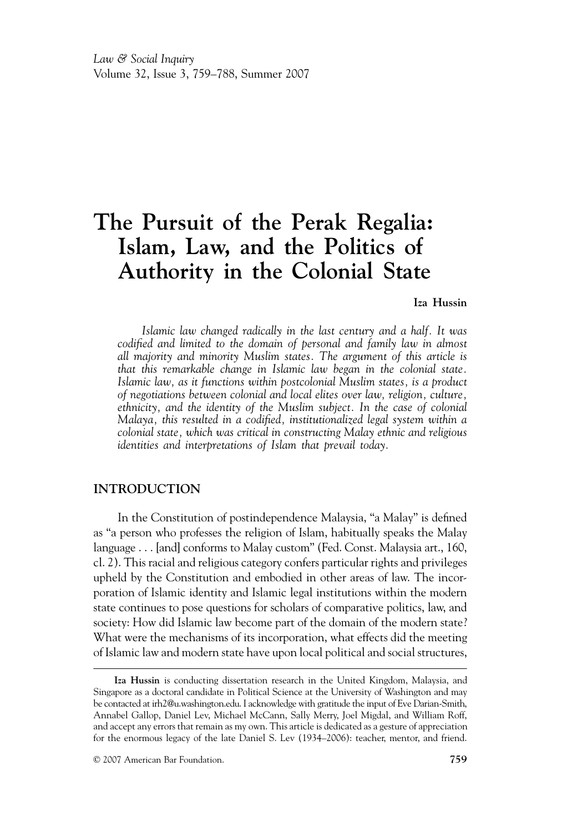# The Pursuit of the Perak Regalia: **Islam, Law, and the Politics of Authority in the Colonial State**

## **Iza Hussin**

*Islamic law changed radically in the last century and a half. It was codified and limited to the domain of personal and family law in almost all majority and minority Muslim states. The argument of this article is that this remarkable change in Islamic law began in the colonial state. Islamic law, as it functions within postcolonial Muslim states, is a product of negotiations between colonial and local elites over law, religion, culture, ethnicity, and the identity of the Muslim subject. In the case of colonial Malaya, this resulted in a codified, institutionalized legal system within a colonial state, which was critical in constructing Malay ethnic and religious identities and interpretations of Islam that prevail today.*

# **INTRODUCTION**

In the Constitution of postindependence Malaysia, "a Malay" is defined as "a person who professes the religion of Islam, habitually speaks the Malay language . . . [and] conforms to Malay custom" (Fed. Const. Malaysia art., 160, cl. 2). This racial and religious category confers particular rights and privileges upheld by the Constitution and embodied in other areas of law. The incorporation of Islamic identity and Islamic legal institutions within the modern state continues to pose questions for scholars of comparative politics, law, and society: How did Islamic law become part of the domain of the modern state? What were the mechanisms of its incorporation, what effects did the meeting of Islamic law and modern state have upon local political and social structures,

**Iza Hussin** is conducting dissertation research in the United Kingdom, Malaysia, and Singapore as a doctoral candidate in Political Science at the University of Washington and may be contacted at irh2@u.washington.edu. I acknowledge with gratitude the input of Eve Darian-Smith, Annabel Gallop, Daniel Lev, Michael McCann, Sally Merry, Joel Migdal, and William Roff, and accept any errors that remain as my own. This article is dedicated as a gesture of appreciation for the enormous legacy of the late Daniel S. Lev (1934–2006): teacher, mentor, and friend.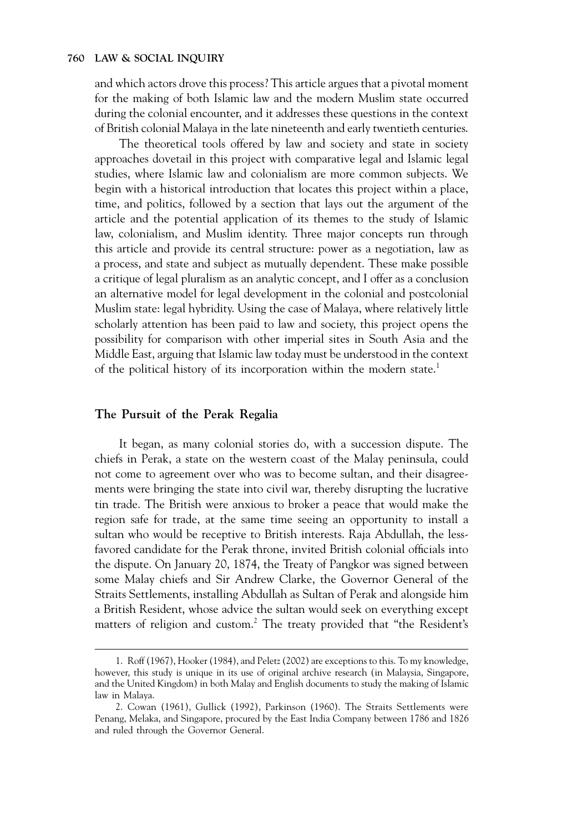and which actors drove this process? This article argues that a pivotal moment for the making of both Islamic law and the modern Muslim state occurred during the colonial encounter, and it addresses these questions in the context of British colonial Malaya in the late nineteenth and early twentieth centuries.

The theoretical tools offered by law and society and state in society approaches dovetail in this project with comparative legal and Islamic legal studies, where Islamic law and colonialism are more common subjects. We begin with a historical introduction that locates this project within a place, time, and politics, followed by a section that lays out the argument of the article and the potential application of its themes to the study of Islamic law, colonialism, and Muslim identity. Three major concepts run through this article and provide its central structure: power as a negotiation, law as a process, and state and subject as mutually dependent. These make possible a critique of legal pluralism as an analytic concept, and I offer as a conclusion an alternative model for legal development in the colonial and postcolonial Muslim state: legal hybridity. Using the case of Malaya, where relatively little scholarly attention has been paid to law and society, this project opens the possibility for comparison with other imperial sites in South Asia and the Middle East, arguing that Islamic law today must be understood in the context of the political history of its incorporation within the modern state.<sup>1</sup>

## **The Pursuit of the Perak Regalia**

It began, as many colonial stories do, with a succession dispute. The chiefs in Perak, a state on the western coast of the Malay peninsula, could not come to agreement over who was to become sultan, and their disagreements were bringing the state into civil war, thereby disrupting the lucrative tin trade. The British were anxious to broker a peace that would make the region safe for trade, at the same time seeing an opportunity to install a sultan who would be receptive to British interests. Raja Abdullah, the lessfavored candidate for the Perak throne, invited British colonial officials into the dispute. On January 20, 1874, the Treaty of Pangkor was signed between some Malay chiefs and Sir Andrew Clarke, the Governor General of the Straits Settlements, installing Abdullah as Sultan of Perak and alongside him a British Resident, whose advice the sultan would seek on everything except matters of religion and custom.<sup>2</sup> The treaty provided that "the Resident's

<sup>1.</sup> Roff (1967), Hooker (1984), and Peletz (2002) are exceptions to this. To my knowledge, however, this study is unique in its use of original archive research (in Malaysia, Singapore, and the United Kingdom) in both Malay and English documents to study the making of Islamic law in Malaya.

<sup>2.</sup> Cowan (1961), Gullick (1992), Parkinson (1960). The Straits Settlements were Penang, Melaka, and Singapore, procured by the East India Company between 1786 and 1826 and ruled through the Governor General.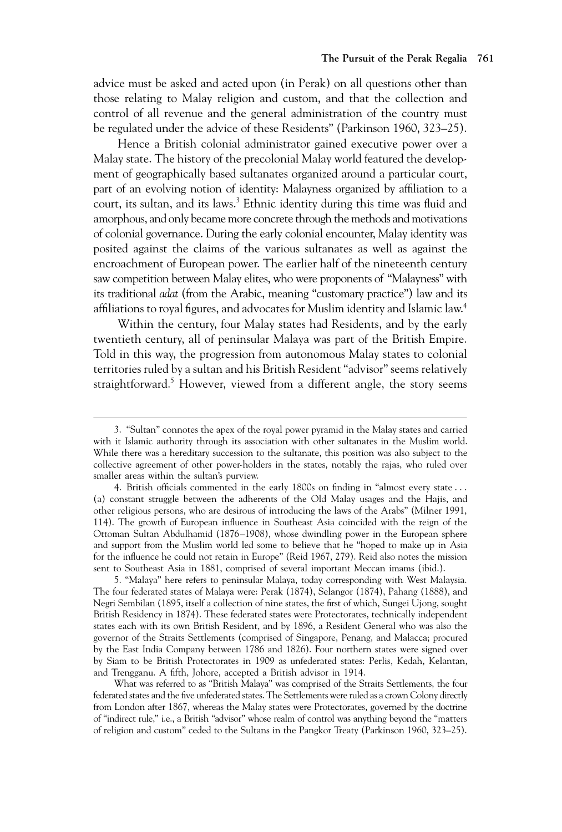advice must be asked and acted upon (in Perak) on all questions other than those relating to Malay religion and custom, and that the collection and control of all revenue and the general administration of the country must be regulated under the advice of these Residents" (Parkinson 1960, 323–25).

Hence a British colonial administrator gained executive power over a Malay state. The history of the precolonial Malay world featured the development of geographically based sultanates organized around a particular court, part of an evolving notion of identity: Malayness organized by affiliation to a court, its sultan, and its laws.<sup>3</sup> Ethnic identity during this time was fluid and amorphous, and only became more concrete through the methods and motivations of colonial governance. During the early colonial encounter, Malay identity was posited against the claims of the various sultanates as well as against the encroachment of European power. The earlier half of the nineteenth century saw competition between Malay elites, who were proponents of "Malayness" with its traditional *adat* (from the Arabic, meaning "customary practice") law and its affiliations to royal figures, and advocates for Muslim identity and Islamic law.4

Within the century, four Malay states had Residents, and by the early twentieth century, all of peninsular Malaya was part of the British Empire. Told in this way, the progression from autonomous Malay states to colonial territories ruled by a sultan and his British Resident "advisor" seems relatively straightforward.<sup>5</sup> However, viewed from a different angle, the story seems

<sup>3. &</sup>quot;Sultan" connotes the apex of the royal power pyramid in the Malay states and carried with it Islamic authority through its association with other sultanates in the Muslim world. While there was a hereditary succession to the sultanate, this position was also subject to the collective agreement of other power-holders in the states, notably the rajas, who ruled over smaller areas within the sultan's purview.

<sup>4.</sup> British officials commented in the early 1800s on finding in "almost every state . . . (a) constant struggle between the adherents of the Old Malay usages and the Hajis, and other religious persons, who are desirous of introducing the laws of the Arabs" (Milner 1991, 114). The growth of European influence in Southeast Asia coincided with the reign of the Ottoman Sultan Abdulhamid (1876–1908), whose dwindling power in the European sphere and support from the Muslim world led some to believe that he "hoped to make up in Asia for the influence he could not retain in Europe" (Reid 1967, 279). Reid also notes the mission sent to Southeast Asia in 1881, comprised of several important Meccan imams (ibid.).

<sup>5. &</sup>quot;Malaya" here refers to peninsular Malaya, today corresponding with West Malaysia. The four federated states of Malaya were: Perak (1874), Selangor (1874), Pahang (1888), and Negri Sembilan (1895, itself a collection of nine states, the first of which, Sungei Ujong, sought British Residency in 1874). These federated states were Protectorates, technically independent states each with its own British Resident, and by 1896, a Resident General who was also the governor of the Straits Settlements (comprised of Singapore, Penang, and Malacca; procured by the East India Company between 1786 and 1826). Four northern states were signed over by Siam to be British Protectorates in 1909 as unfederated states: Perlis, Kedah, Kelantan, and Trengganu. A fifth, Johore, accepted a British advisor in 1914.

What was referred to as "British Malaya" was comprised of the Straits Settlements, the four federated states and the five unfederated states. The Settlements were ruled as a crown Colony directly from London after 1867, whereas the Malay states were Protectorates, governed by the doctrine of "indirect rule," i.e., a British "advisor" whose realm of control was anything beyond the "matters of religion and custom" ceded to the Sultans in the Pangkor Treaty (Parkinson 1960, 323–25).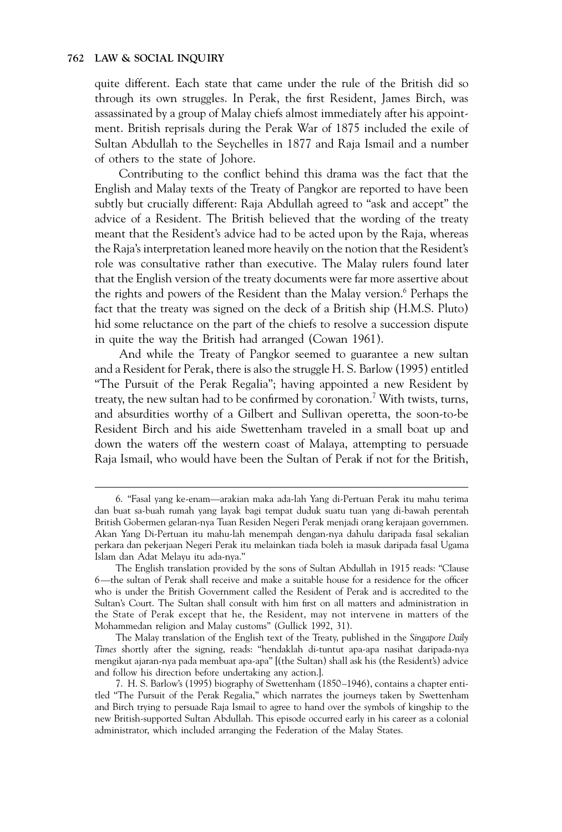quite different. Each state that came under the rule of the British did so through its own struggles. In Perak, the first Resident, James Birch, was assassinated by a group of Malay chiefs almost immediately after his appointment. British reprisals during the Perak War of 1875 included the exile of Sultan Abdullah to the Seychelles in 1877 and Raja Ismail and a number of others to the state of Johore.

Contributing to the conflict behind this drama was the fact that the English and Malay texts of the Treaty of Pangkor are reported to have been subtly but crucially different: Raja Abdullah agreed to "ask and accept" the advice of a Resident. The British believed that the wording of the treaty meant that the Resident's advice had to be acted upon by the Raja, whereas the Raja's interpretation leaned more heavily on the notion that the Resident's role was consultative rather than executive. The Malay rulers found later that the English version of the treaty documents were far more assertive about the rights and powers of the Resident than the Malay version.<sup>6</sup> Perhaps the fact that the treaty was signed on the deck of a British ship (H.M.S. Pluto) hid some reluctance on the part of the chiefs to resolve a succession dispute in quite the way the British had arranged (Cowan 1961).

And while the Treaty of Pangkor seemed to guarantee a new sultan and a Resident for Perak, there is also the struggle H. S. Barlow (1995) entitled "The Pursuit of the Perak Regalia"; having appointed a new Resident by treaty, the new sultan had to be confirmed by coronation.<sup>7</sup> With twists, turns, and absurdities worthy of a Gilbert and Sullivan operetta, the soon-to-be Resident Birch and his aide Swettenham traveled in a small boat up and down the waters off the western coast of Malaya, attempting to persuade Raja Ismail, who would have been the Sultan of Perak if not for the British,

<sup>6. &</sup>quot;Fasal yang ke-enam—arakian maka ada-lah Yang di-Pertuan Perak itu mahu terima dan buat sa-buah rumah yang layak bagi tempat duduk suatu tuan yang di-bawah perentah British Gobermen gelaran-nya Tuan Residen Negeri Perak menjadi orang kerajaan governmen. Akan Yang Di-Pertuan itu mahu-lah menempah dengan-nya dahulu daripada fasal sekalian perkara dan pekerjaan Negeri Perak itu melainkan tiada boleh ia masuk daripada fasal Ugama Islam dan Adat Melayu itu ada-nya."

The English translation provided by the sons of Sultan Abdullah in 1915 reads: "Clause 6—the sultan of Perak shall receive and make a suitable house for a residence for the officer who is under the British Government called the Resident of Perak and is accredited to the Sultan's Court. The Sultan shall consult with him first on all matters and administration in the State of Perak except that he, the Resident, may not intervene in matters of the Mohammedan religion and Malay customs" (Gullick 1992, 31).

The Malay translation of the English text of the Treaty, published in the *Singapore Daily Times* shortly after the signing, reads: "hendaklah di-tuntut apa-apa nasihat daripada-nya mengikut ajaran-nya pada membuat apa-apa" [(the Sultan) shall ask his (the Resident's) advice and follow his direction before undertaking any action.].

<sup>7.</sup> H. S. Barlow's (1995) biography of Swettenham (1850–1946), contains a chapter entitled "The Pursuit of the Perak Regalia," which narrates the journeys taken by Swettenham and Birch trying to persuade Raja Ismail to agree to hand over the symbols of kingship to the new British-supported Sultan Abdullah. This episode occurred early in his career as a colonial administrator, which included arranging the Federation of the Malay States.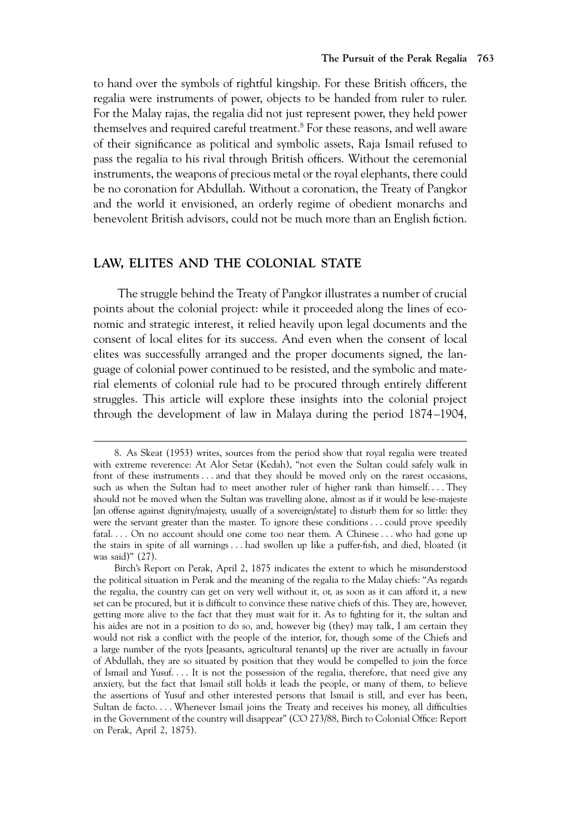to hand over the symbols of rightful kingship. For these British officers, the regalia were instruments of power, objects to be handed from ruler to ruler. For the Malay rajas, the regalia did not just represent power, they held power themselves and required careful treatment.<sup>8</sup> For these reasons, and well aware of their significance as political and symbolic assets, Raja Ismail refused to pass the regalia to his rival through British officers. Without the ceremonial instruments, the weapons of precious metal or the royal elephants, there could be no coronation for Abdullah. Without a coronation, the Treaty of Pangkor and the world it envisioned, an orderly regime of obedient monarchs and benevolent British advisors, could not be much more than an English fiction.

## **LAW, ELITES AND THE COLONIAL STATE**

The struggle behind the Treaty of Pangkor illustrates a number of crucial points about the colonial project: while it proceeded along the lines of economic and strategic interest, it relied heavily upon legal documents and the consent of local elites for its success. And even when the consent of local elites was successfully arranged and the proper documents signed, the language of colonial power continued to be resisted, and the symbolic and material elements of colonial rule had to be procured through entirely different struggles. This article will explore these insights into the colonial project through the development of law in Malaya during the period 1874–1904,

<sup>8.</sup> As Skeat (1953) writes, sources from the period show that royal regalia were treated with extreme reverence: At Alor Setar (Kedah), "not even the Sultan could safely walk in front of these instruments . . . and that they should be moved only on the rarest occasions, such as when the Sultan had to meet another ruler of higher rank than himself. . . . They should not be moved when the Sultan was travelling alone, almost as if it would be lese-majeste [an offense against dignity/majesty, usually of a sovereign/state] to disturb them for so little: they were the servant greater than the master. To ignore these conditions . . . could prove speedily fatal.... On no account should one come too near them. A Chinese... who had gone up the stairs in spite of all warnings . . . had swollen up like a puffer-fish, and died, bloated (it was said)" (27).

Birch's Report on Perak, April 2, 1875 indicates the extent to which he misunderstood the political situation in Perak and the meaning of the regalia to the Malay chiefs: "As regards the regalia, the country can get on very well without it, or, as soon as it can afford it, a new set can be procured, but it is difficult to convince these native chiefs of this. They are, however, getting more alive to the fact that they must wait for it. As to fighting for it, the sultan and his aides are not in a position to do so, and, however big (they) may talk, I am certain they would not risk a conflict with the people of the interior, for, though some of the Chiefs and a large number of the ryots [peasants, agricultural tenants] up the river are actually in favour of Abdullah, they are so situated by position that they would be compelled to join the force of Ismail and Yusuf. . . . It is not the possession of the regalia, therefore, that need give any anxiety, but the fact that Ismail still holds it leads the people, or many of them, to believe the assertions of Yusuf and other interested persons that Ismail is still, and ever has been, Sultan de facto. . . . Whenever Ismail joins the Treaty and receives his money, all difficulties in the Government of the country will disappear" (CO 273/88, Birch to Colonial Office: Report on Perak, April 2, 1875).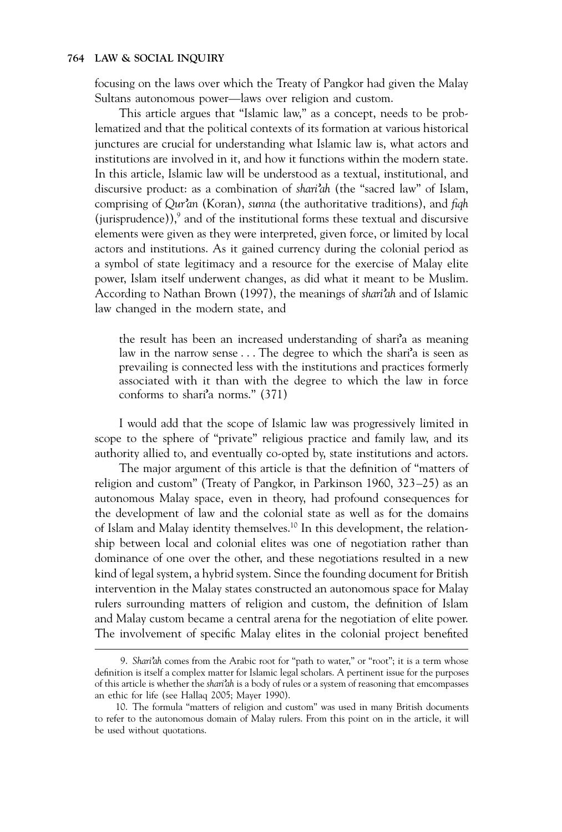focusing on the laws over which the Treaty of Pangkor had given the Malay Sultans autonomous power—laws over religion and custom.

This article argues that "Islamic law," as a concept, needs to be problematized and that the political contexts of its formation at various historical junctures are crucial for understanding what Islamic law is, what actors and institutions are involved in it, and how it functions within the modern state. In this article, Islamic law will be understood as a textual, institutional, and discursive product: as a combination of *shari*<sup>2</sup>*ah* (the "sacred law" of Islam, comprising of *Qur*}*an* (Koran), *sunna* (the authoritative traditions), and *fiqh* (jurisprudence)), $9$  and of the institutional forms these textual and discursive elements were given as they were interpreted, given force, or limited by local actors and institutions. As it gained currency during the colonial period as a symbol of state legitimacy and a resource for the exercise of Malay elite power, Islam itself underwent changes, as did what it meant to be Muslim. According to Nathan Brown (1997), the meanings of *shari*}*ah* and of Islamic law changed in the modern state, and

the result has been an increased understanding of shari'a as meaning law in the narrow sense  $\dots$  The degree to which the shari'a is seen as prevailing is connected less with the institutions and practices formerly associated with it than with the degree to which the law in force conforms to shari'a norms."  $(371)$ 

I would add that the scope of Islamic law was progressively limited in scope to the sphere of "private" religious practice and family law, and its authority allied to, and eventually co-opted by, state institutions and actors.

The major argument of this article is that the definition of "matters of religion and custom" (Treaty of Pangkor, in Parkinson 1960, 323–25) as an autonomous Malay space, even in theory, had profound consequences for the development of law and the colonial state as well as for the domains of Islam and Malay identity themselves.10 In this development, the relationship between local and colonial elites was one of negotiation rather than dominance of one over the other, and these negotiations resulted in a new kind of legal system, a hybrid system. Since the founding document for British intervention in the Malay states constructed an autonomous space for Malay rulers surrounding matters of religion and custom, the definition of Islam and Malay custom became a central arena for the negotiation of elite power. The involvement of specific Malay elites in the colonial project benefited

<sup>9.</sup> *Shari'ah* comes from the Arabic root for "path to water," or "root"; it is a term whose definition is itself a complex matter for Islamic legal scholars. A pertinent issue for the purposes of this article is whether the *shari'ah* is a body of rules or a system of reasoning that emcompasses an ethic for life (see Hallaq 2005; Mayer 1990).

<sup>10.</sup> The formula "matters of religion and custom" was used in many British documents to refer to the autonomous domain of Malay rulers. From this point on in the article, it will be used without quotations.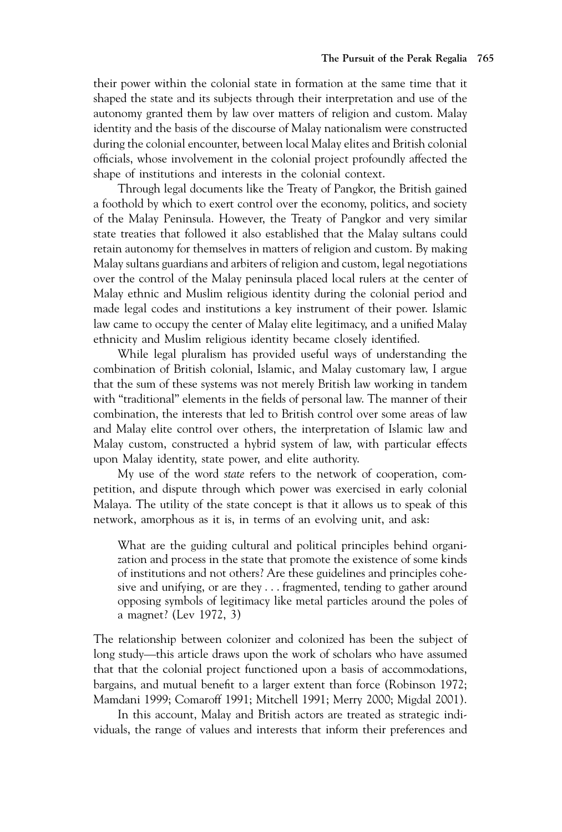their power within the colonial state in formation at the same time that it shaped the state and its subjects through their interpretation and use of the autonomy granted them by law over matters of religion and custom. Malay identity and the basis of the discourse of Malay nationalism were constructed during the colonial encounter, between local Malay elites and British colonial officials, whose involvement in the colonial project profoundly affected the shape of institutions and interests in the colonial context.

Through legal documents like the Treaty of Pangkor, the British gained a foothold by which to exert control over the economy, politics, and society of the Malay Peninsula. However, the Treaty of Pangkor and very similar state treaties that followed it also established that the Malay sultans could retain autonomy for themselves in matters of religion and custom. By making Malay sultans guardians and arbiters of religion and custom, legal negotiations over the control of the Malay peninsula placed local rulers at the center of Malay ethnic and Muslim religious identity during the colonial period and made legal codes and institutions a key instrument of their power. Islamic law came to occupy the center of Malay elite legitimacy, and a unified Malay ethnicity and Muslim religious identity became closely identified.

While legal pluralism has provided useful ways of understanding the combination of British colonial, Islamic, and Malay customary law, I argue that the sum of these systems was not merely British law working in tandem with "traditional" elements in the fields of personal law. The manner of their combination, the interests that led to British control over some areas of law and Malay elite control over others, the interpretation of Islamic law and Malay custom, constructed a hybrid system of law, with particular effects upon Malay identity, state power, and elite authority.

My use of the word *state* refers to the network of cooperation, competition, and dispute through which power was exercised in early colonial Malaya. The utility of the state concept is that it allows us to speak of this network, amorphous as it is, in terms of an evolving unit, and ask:

What are the guiding cultural and political principles behind organization and process in the state that promote the existence of some kinds of institutions and not others? Are these guidelines and principles cohesive and unifying, or are they . . . fragmented, tending to gather around opposing symbols of legitimacy like metal particles around the poles of a magnet? (Lev 1972, 3)

The relationship between colonizer and colonized has been the subject of long study—this article draws upon the work of scholars who have assumed that that the colonial project functioned upon a basis of accommodations, bargains, and mutual benefit to a larger extent than force (Robinson 1972; Mamdani 1999; Comaroff 1991; Mitchell 1991; Merry 2000; Migdal 2001).

In this account, Malay and British actors are treated as strategic individuals, the range of values and interests that inform their preferences and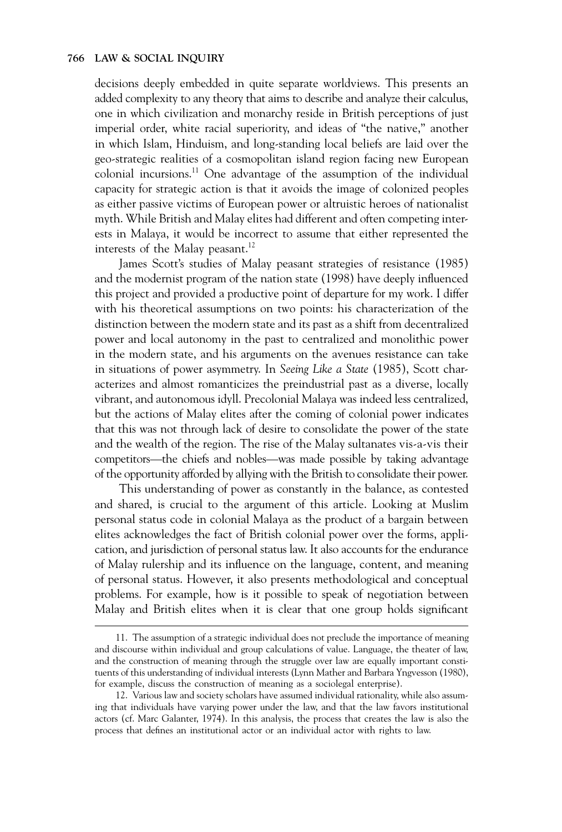decisions deeply embedded in quite separate worldviews. This presents an added complexity to any theory that aims to describe and analyze their calculus, one in which civilization and monarchy reside in British perceptions of just imperial order, white racial superiority, and ideas of "the native," another in which Islam, Hinduism, and long-standing local beliefs are laid over the geo-strategic realities of a cosmopolitan island region facing new European colonial incursions.11 One advantage of the assumption of the individual capacity for strategic action is that it avoids the image of colonized peoples as either passive victims of European power or altruistic heroes of nationalist myth. While British and Malay elites had different and often competing interests in Malaya, it would be incorrect to assume that either represented the interests of the Malay peasant.<sup>12</sup>

James Scott's studies of Malay peasant strategies of resistance (1985) and the modernist program of the nation state (1998) have deeply influenced this project and provided a productive point of departure for my work. I differ with his theoretical assumptions on two points: his characterization of the distinction between the modern state and its past as a shift from decentralized power and local autonomy in the past to centralized and monolithic power in the modern state, and his arguments on the avenues resistance can take in situations of power asymmetry. In *Seeing Like a State* (1985), Scott characterizes and almost romanticizes the preindustrial past as a diverse, locally vibrant, and autonomous idyll. Precolonial Malaya was indeed less centralized, but the actions of Malay elites after the coming of colonial power indicates that this was not through lack of desire to consolidate the power of the state and the wealth of the region. The rise of the Malay sultanates vis-a-vis their competitors—the chiefs and nobles—was made possible by taking advantage of the opportunity afforded by allying with the British to consolidate their power.

This understanding of power as constantly in the balance, as contested and shared, is crucial to the argument of this article. Looking at Muslim personal status code in colonial Malaya as the product of a bargain between elites acknowledges the fact of British colonial power over the forms, application, and jurisdiction of personal status law. It also accounts for the endurance of Malay rulership and its influence on the language, content, and meaning of personal status. However, it also presents methodological and conceptual problems. For example, how is it possible to speak of negotiation between Malay and British elites when it is clear that one group holds significant

<sup>11.</sup> The assumption of a strategic individual does not preclude the importance of meaning and discourse within individual and group calculations of value. Language, the theater of law, and the construction of meaning through the struggle over law are equally important constituents of this understanding of individual interests (Lynn Mather and Barbara Yngvesson (1980), for example, discuss the construction of meaning as a sociolegal enterprise).

<sup>12.</sup> Various law and society scholars have assumed individual rationality, while also assuming that individuals have varying power under the law, and that the law favors institutional actors (cf. Marc Galanter, 1974). In this analysis, the process that creates the law is also the process that defines an institutional actor or an individual actor with rights to law.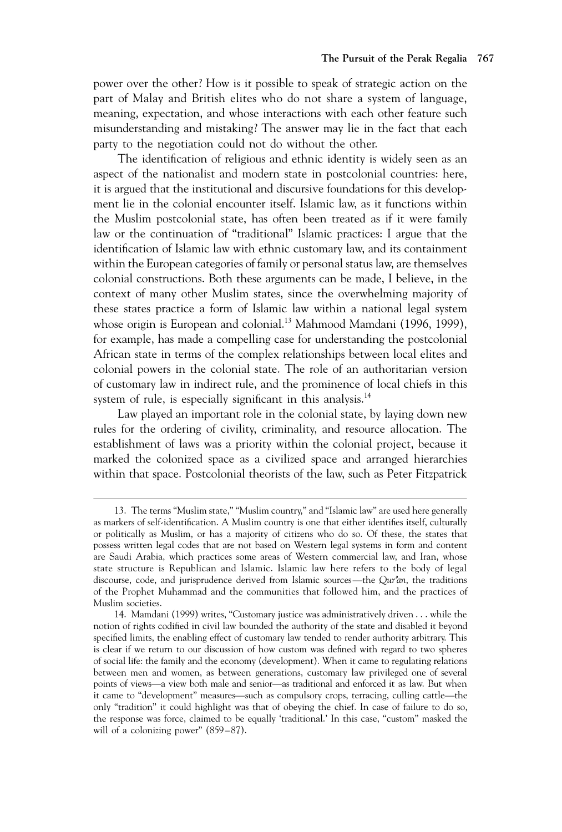power over the other? How is it possible to speak of strategic action on the part of Malay and British elites who do not share a system of language, meaning, expectation, and whose interactions with each other feature such misunderstanding and mistaking? The answer may lie in the fact that each party to the negotiation could not do without the other.

The identification of religious and ethnic identity is widely seen as an aspect of the nationalist and modern state in postcolonial countries: here, it is argued that the institutional and discursive foundations for this development lie in the colonial encounter itself. Islamic law, as it functions within the Muslim postcolonial state, has often been treated as if it were family law or the continuation of "traditional" Islamic practices: I argue that the identification of Islamic law with ethnic customary law, and its containment within the European categories of family or personal status law, are themselves colonial constructions. Both these arguments can be made, I believe, in the context of many other Muslim states, since the overwhelming majority of these states practice a form of Islamic law within a national legal system whose origin is European and colonial.<sup>13</sup> Mahmood Mamdani (1996, 1999), for example, has made a compelling case for understanding the postcolonial African state in terms of the complex relationships between local elites and colonial powers in the colonial state. The role of an authoritarian version of customary law in indirect rule, and the prominence of local chiefs in this system of rule, is especially significant in this analysis.<sup>14</sup>

Law played an important role in the colonial state, by laying down new rules for the ordering of civility, criminality, and resource allocation. The establishment of laws was a priority within the colonial project, because it marked the colonized space as a civilized space and arranged hierarchies within that space. Postcolonial theorists of the law, such as Peter Fitzpatrick

<sup>13.</sup> The terms "Muslim state," "Muslim country," and "Islamic law" are used here generally as markers of self-identification. A Muslim country is one that either identifies itself, culturally or politically as Muslim, or has a majority of citizens who do so. Of these, the states that possess written legal codes that are not based on Western legal systems in form and content are Saudi Arabia, which practices some areas of Western commercial law, and Iran, whose state structure is Republican and Islamic. Islamic law here refers to the body of legal discourse, code, and jurisprudence derived from Islamic sources—the *Qur*}*an*, the traditions of the Prophet Muhammad and the communities that followed him, and the practices of Muslim societies.

<sup>14.</sup> Mamdani (1999) writes, "Customary justice was administratively driven . . . while the notion of rights codified in civil law bounded the authority of the state and disabled it beyond specified limits, the enabling effect of customary law tended to render authority arbitrary. This is clear if we return to our discussion of how custom was defined with regard to two spheres of social life: the family and the economy (development). When it came to regulating relations between men and women, as between generations, customary law privileged one of several points of views—a view both male and senior—as traditional and enforced it as law. But when it came to "development" measures—such as compulsory crops, terracing, culling cattle—the only "tradition" it could highlight was that of obeying the chief. In case of failure to do so, the response was force, claimed to be equally 'traditional.' In this case, "custom" masked the will of a colonizing power" (859–87).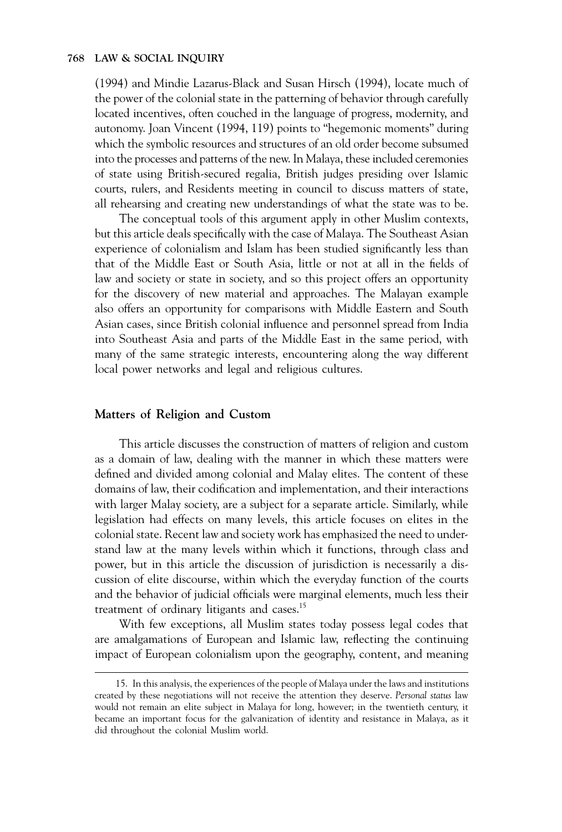(1994) and Mindie Lazarus-Black and Susan Hirsch (1994), locate much of the power of the colonial state in the patterning of behavior through carefully located incentives, often couched in the language of progress, modernity, and autonomy. Joan Vincent (1994, 119) points to "hegemonic moments" during which the symbolic resources and structures of an old order become subsumed into the processes and patterns of the new. In Malaya, these included ceremonies of state using British-secured regalia, British judges presiding over Islamic courts, rulers, and Residents meeting in council to discuss matters of state, all rehearsing and creating new understandings of what the state was to be.

The conceptual tools of this argument apply in other Muslim contexts, but this article deals specifically with the case of Malaya. The Southeast Asian experience of colonialism and Islam has been studied significantly less than that of the Middle East or South Asia, little or not at all in the fields of law and society or state in society, and so this project offers an opportunity for the discovery of new material and approaches. The Malayan example also offers an opportunity for comparisons with Middle Eastern and South Asian cases, since British colonial influence and personnel spread from India into Southeast Asia and parts of the Middle East in the same period, with many of the same strategic interests, encountering along the way different local power networks and legal and religious cultures.

## **Matters of Religion and Custom**

This article discusses the construction of matters of religion and custom as a domain of law, dealing with the manner in which these matters were defined and divided among colonial and Malay elites. The content of these domains of law, their codification and implementation, and their interactions with larger Malay society, are a subject for a separate article. Similarly, while legislation had effects on many levels, this article focuses on elites in the colonial state. Recent law and society work has emphasized the need to understand law at the many levels within which it functions, through class and power, but in this article the discussion of jurisdiction is necessarily a discussion of elite discourse, within which the everyday function of the courts and the behavior of judicial officials were marginal elements, much less their treatment of ordinary litigants and cases.<sup>15</sup>

With few exceptions, all Muslim states today possess legal codes that are amalgamations of European and Islamic law, reflecting the continuing impact of European colonialism upon the geography, content, and meaning

<sup>15.</sup> In this analysis, the experiences of the people of Malaya under the laws and institutions created by these negotiations will not receive the attention they deserve. *Personal status* law would not remain an elite subject in Malaya for long, however; in the twentieth century, it became an important focus for the galvanization of identity and resistance in Malaya, as it did throughout the colonial Muslim world.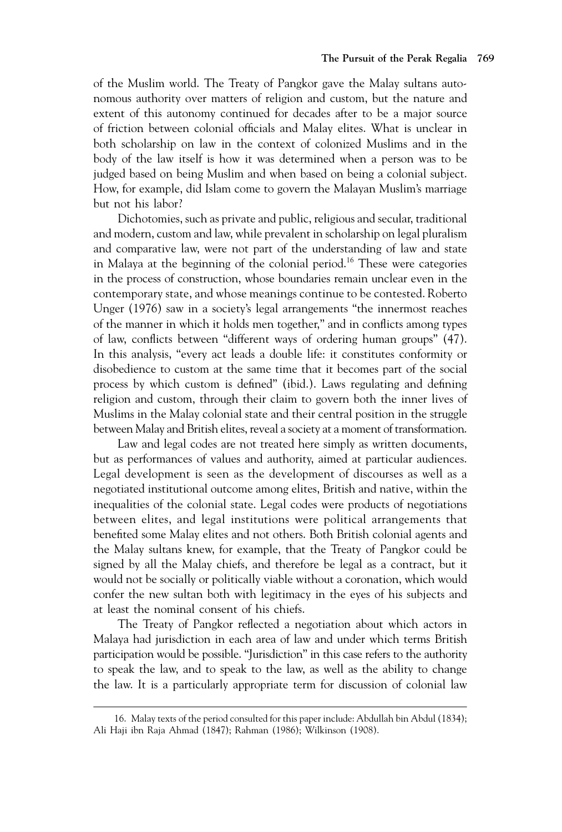of the Muslim world. The Treaty of Pangkor gave the Malay sultans autonomous authority over matters of religion and custom, but the nature and extent of this autonomy continued for decades after to be a major source of friction between colonial officials and Malay elites. What is unclear in both scholarship on law in the context of colonized Muslims and in the body of the law itself is how it was determined when a person was to be judged based on being Muslim and when based on being a colonial subject. How, for example, did Islam come to govern the Malayan Muslim's marriage but not his labor?

Dichotomies, such as private and public, religious and secular, traditional and modern, custom and law, while prevalent in scholarship on legal pluralism and comparative law, were not part of the understanding of law and state in Malaya at the beginning of the colonial period.<sup>16</sup> These were categories in the process of construction, whose boundaries remain unclear even in the contemporary state, and whose meanings continue to be contested. Roberto Unger (1976) saw in a society's legal arrangements "the innermost reaches of the manner in which it holds men together," and in conflicts among types of law, conflicts between "different ways of ordering human groups" (47). In this analysis, "every act leads a double life: it constitutes conformity or disobedience to custom at the same time that it becomes part of the social process by which custom is defined" (ibid.). Laws regulating and defining religion and custom, through their claim to govern both the inner lives of Muslims in the Malay colonial state and their central position in the struggle between Malay and British elites, reveal a society at a moment of transformation.

Law and legal codes are not treated here simply as written documents, but as performances of values and authority, aimed at particular audiences. Legal development is seen as the development of discourses as well as a negotiated institutional outcome among elites, British and native, within the inequalities of the colonial state. Legal codes were products of negotiations between elites, and legal institutions were political arrangements that benefited some Malay elites and not others. Both British colonial agents and the Malay sultans knew, for example, that the Treaty of Pangkor could be signed by all the Malay chiefs, and therefore be legal as a contract, but it would not be socially or politically viable without a coronation, which would confer the new sultan both with legitimacy in the eyes of his subjects and at least the nominal consent of his chiefs.

The Treaty of Pangkor reflected a negotiation about which actors in Malaya had jurisdiction in each area of law and under which terms British participation would be possible. "Jurisdiction" in this case refers to the authority to speak the law, and to speak to the law, as well as the ability to change the law. It is a particularly appropriate term for discussion of colonial law

<sup>16.</sup> Malay texts of the period consulted for this paper include: Abdullah bin Abdul (1834); Ali Haji ibn Raja Ahmad (1847); Rahman (1986); Wilkinson (1908).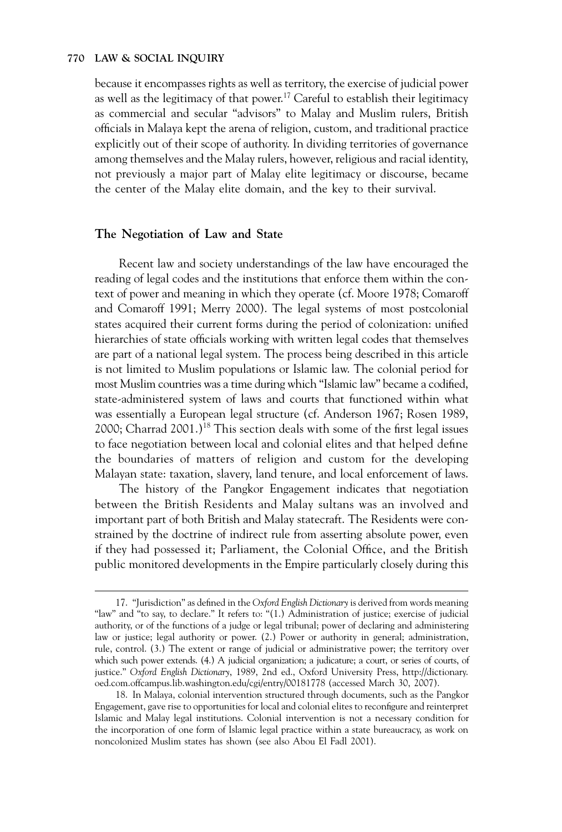because it encompasses rights as well as territory, the exercise of judicial power as well as the legitimacy of that power.<sup>17</sup> Careful to establish their legitimacy as commercial and secular "advisors" to Malay and Muslim rulers, British officials in Malaya kept the arena of religion, custom, and traditional practice explicitly out of their scope of authority. In dividing territories of governance among themselves and the Malay rulers, however, religious and racial identity, not previously a major part of Malay elite legitimacy or discourse, became the center of the Malay elite domain, and the key to their survival.

## **The Negotiation of Law and State**

Recent law and society understandings of the law have encouraged the reading of legal codes and the institutions that enforce them within the context of power and meaning in which they operate (cf. Moore 1978; Comaroff and Comaroff 1991; Merry 2000). The legal systems of most postcolonial states acquired their current forms during the period of colonization: unified hierarchies of state officials working with written legal codes that themselves are part of a national legal system. The process being described in this article is not limited to Muslim populations or Islamic law. The colonial period for most Muslim countries was a time during which "Islamic law" became a codified, state-administered system of laws and courts that functioned within what was essentially a European legal structure (cf. Anderson 1967; Rosen 1989, 2000; Charrad 2001.)18 This section deals with some of the first legal issues to face negotiation between local and colonial elites and that helped define the boundaries of matters of religion and custom for the developing Malayan state: taxation, slavery, land tenure, and local enforcement of laws.

The history of the Pangkor Engagement indicates that negotiation between the British Residents and Malay sultans was an involved and important part of both British and Malay statecraft. The Residents were constrained by the doctrine of indirect rule from asserting absolute power, even if they had possessed it; Parliament, the Colonial Office, and the British public monitored developments in the Empire particularly closely during this

<sup>17. &</sup>quot;Jurisdiction" as defined in the *Oxford English Dictionary* is derived from words meaning "law" and "to say, to declare." It refers to: "(1.) Administration of justice; exercise of judicial authority, or of the functions of a judge or legal tribunal; power of declaring and administering law or justice; legal authority or power. (2.) Power or authority in general; administration, rule, control. (3.) The extent or range of judicial or administrative power; the territory over which such power extends. (4.) A judicial organization; a judicature; a court, or series of courts, of justice." *Oxford English Dictionary*, 1989, 2nd ed., Oxford University Press, [http://dictionary.](http://dictionary) oed.com.offcampus.lib.washington.edu/cgi/entry/00181778 (accessed March 30, 2007).

<sup>18.</sup> In Malaya, colonial intervention structured through documents, such as the Pangkor Engagement, gave rise to opportunities for local and colonial elites to reconfigure and reinterpret Islamic and Malay legal institutions. Colonial intervention is not a necessary condition for the incorporation of one form of Islamic legal practice within a state bureaucracy, as work on noncolonized Muslim states has shown (see also Abou El Fadl 2001).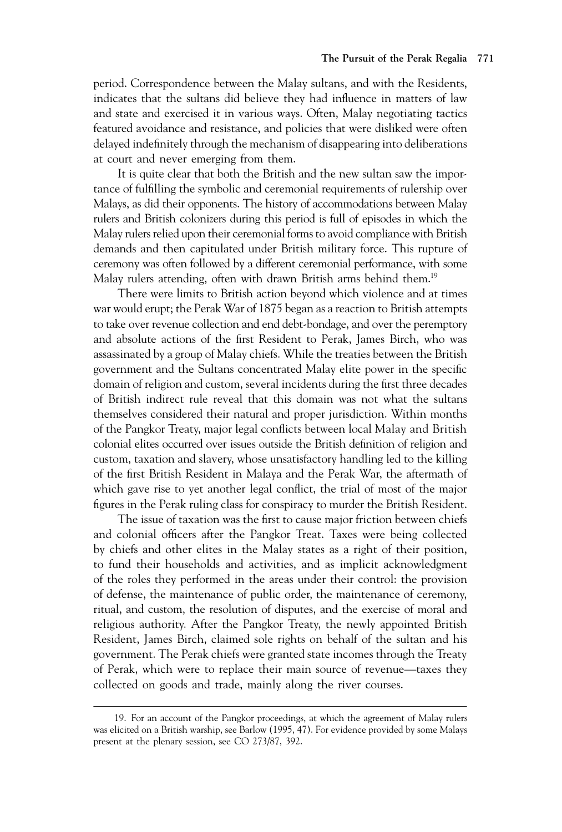period. Correspondence between the Malay sultans, and with the Residents, indicates that the sultans did believe they had influence in matters of law and state and exercised it in various ways. Often, Malay negotiating tactics featured avoidance and resistance, and policies that were disliked were often delayed indefinitely through the mechanism of disappearing into deliberations at court and never emerging from them.

It is quite clear that both the British and the new sultan saw the importance of fulfilling the symbolic and ceremonial requirements of rulership over Malays, as did their opponents. The history of accommodations between Malay rulers and British colonizers during this period is full of episodes in which the Malay rulers relied upon their ceremonial forms to avoid compliance with British demands and then capitulated under British military force. This rupture of ceremony was often followed by a different ceremonial performance, with some Malay rulers attending, often with drawn British arms behind them.<sup>19</sup>

There were limits to British action beyond which violence and at times war would erupt; the Perak War of 1875 began as a reaction to British attempts to take over revenue collection and end debt-bondage, and over the peremptory and absolute actions of the first Resident to Perak, James Birch, who was assassinated by a group of Malay chiefs. While the treaties between the British government and the Sultans concentrated Malay elite power in the specific domain of religion and custom, several incidents during the first three decades of British indirect rule reveal that this domain was not what the sultans themselves considered their natural and proper jurisdiction. Within months of the Pangkor Treaty, major legal conflicts between local Malay and British colonial elites occurred over issues outside the British definition of religion and custom, taxation and slavery, whose unsatisfactory handling led to the killing of the first British Resident in Malaya and the Perak War, the aftermath of which gave rise to yet another legal conflict, the trial of most of the major figures in the Perak ruling class for conspiracy to murder the British Resident.

The issue of taxation was the first to cause major friction between chiefs and colonial officers after the Pangkor Treat. Taxes were being collected by chiefs and other elites in the Malay states as a right of their position, to fund their households and activities, and as implicit acknowledgment of the roles they performed in the areas under their control: the provision of defense, the maintenance of public order, the maintenance of ceremony, ritual, and custom, the resolution of disputes, and the exercise of moral and religious authority. After the Pangkor Treaty, the newly appointed British Resident, James Birch, claimed sole rights on behalf of the sultan and his government. The Perak chiefs were granted state incomes through the Treaty of Perak, which were to replace their main source of revenue—taxes they collected on goods and trade, mainly along the river courses.

<sup>19.</sup> For an account of the Pangkor proceedings, at which the agreement of Malay rulers was elicited on a British warship, see Barlow (1995, 47). For evidence provided by some Malays present at the plenary session, see CO 273/87, 392.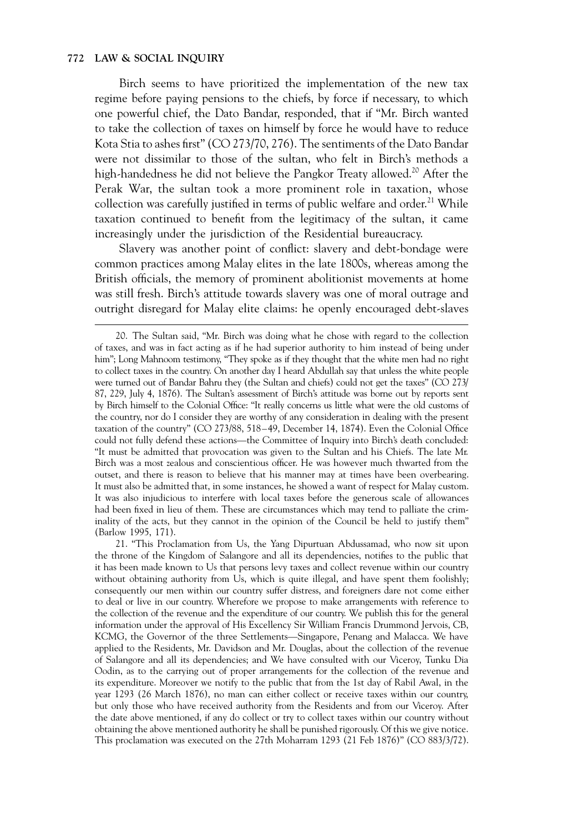Birch seems to have prioritized the implementation of the new tax regime before paying pensions to the chiefs, by force if necessary, to which one powerful chief, the Dato Bandar, responded, that if "Mr. Birch wanted to take the collection of taxes on himself by force he would have to reduce Kota Stia to ashes first" (CO 273/70, 276). The sentiments of the Dato Bandar were not dissimilar to those of the sultan, who felt in Birch's methods a high-handedness he did not believe the Pangkor Treaty allowed.<sup>20</sup> After the Perak War, the sultan took a more prominent role in taxation, whose collection was carefully justified in terms of public welfare and order.<sup>21</sup> While taxation continued to benefit from the legitimacy of the sultan, it came increasingly under the jurisdiction of the Residential bureaucracy.

Slavery was another point of conflict: slavery and debt-bondage were common practices among Malay elites in the late 1800s, whereas among the British officials, the memory of prominent abolitionist movements at home was still fresh. Birch's attitude towards slavery was one of moral outrage and outright disregard for Malay elite claims: he openly encouraged debt-slaves

<sup>20.</sup> The Sultan said, "Mr. Birch was doing what he chose with regard to the collection of taxes, and was in fact acting as if he had superior authority to him instead of being under him"; Long Mahnoom testimony, "They spoke as if they thought that the white men had no right to collect taxes in the country. On another day I heard Abdullah say that unless the white people were turned out of Bandar Bahru they (the Sultan and chiefs) could not get the taxes" (CO 273/ 87, 229, July 4, 1876). The Sultan's assessment of Birch's attitude was borne out by reports sent by Birch himself to the Colonial Office: "It really concerns us little what were the old customs of the country, nor do I consider they are worthy of any consideration in dealing with the present taxation of the country" (CO 273/88, 518–49, December 14, 1874). Even the Colonial Office could not fully defend these actions—the Committee of Inquiry into Birch's death concluded: "It must be admitted that provocation was given to the Sultan and his Chiefs. The late Mr. Birch was a most zealous and conscientious officer. He was however much thwarted from the outset, and there is reason to believe that his manner may at times have been overbearing. It must also be admitted that, in some instances, he showed a want of respect for Malay custom. It was also injudicious to interfere with local taxes before the generous scale of allowances had been fixed in lieu of them. These are circumstances which may tend to palliate the criminality of the acts, but they cannot in the opinion of the Council be held to justify them" (Barlow 1995, 171).

<sup>21. &</sup>quot;This Proclamation from Us, the Yang Dipurtuan Abdussamad, who now sit upon the throne of the Kingdom of Salangore and all its dependencies, notifies to the public that it has been made known to Us that persons levy taxes and collect revenue within our country without obtaining authority from Us, which is quite illegal, and have spent them foolishly; consequently our men within our country suffer distress, and foreigners dare not come either to deal or live in our country. Wherefore we propose to make arrangements with reference to the collection of the revenue and the expenditure of our country. We publish this for the general information under the approval of His Excellency Sir William Francis Drummond Jervois, CB, KCMG, the Governor of the three Settlements—Singapore, Penang and Malacca. We have applied to the Residents, Mr. Davidson and Mr. Douglas, about the collection of the revenue of Salangore and all its dependencies; and We have consulted with our Viceroy, Tunku Dia Oodin, as to the carrying out of proper arrangements for the collection of the revenue and its expenditure. Moreover we notify to the public that from the 1st day of Rabil Awal, in the year 1293 (26 March 1876), no man can either collect or receive taxes within our country, but only those who have received authority from the Residents and from our Viceroy. After the date above mentioned, if any do collect or try to collect taxes within our country without obtaining the above mentioned authority he shall be punished rigorously. Of this we give notice. This proclamation was executed on the 27th Moharram 1293 (21 Feb 1876)" (CO 883/3/72).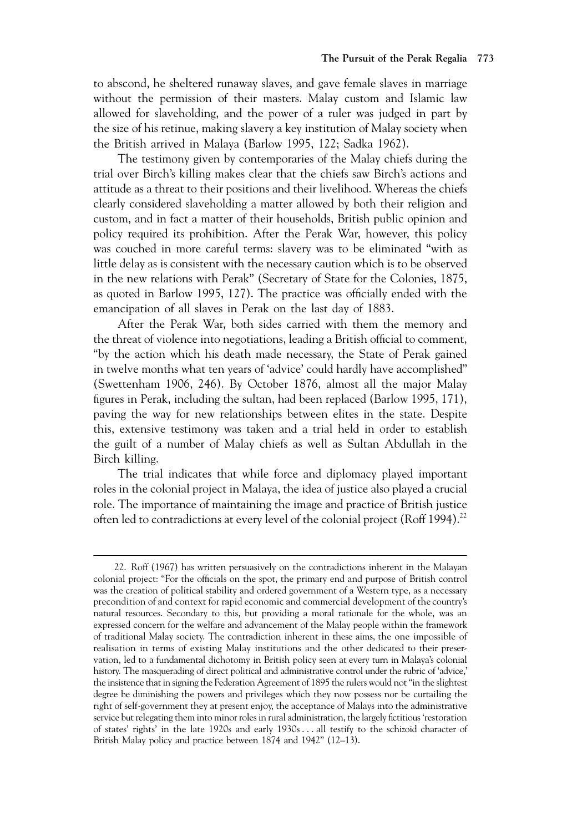to abscond, he sheltered runaway slaves, and gave female slaves in marriage without the permission of their masters. Malay custom and Islamic law allowed for slaveholding, and the power of a ruler was judged in part by the size of his retinue, making slavery a key institution of Malay society when the British arrived in Malaya (Barlow 1995, 122; Sadka 1962).

The testimony given by contemporaries of the Malay chiefs during the trial over Birch's killing makes clear that the chiefs saw Birch's actions and attitude as a threat to their positions and their livelihood. Whereas the chiefs clearly considered slaveholding a matter allowed by both their religion and custom, and in fact a matter of their households, British public opinion and policy required its prohibition. After the Perak War, however, this policy was couched in more careful terms: slavery was to be eliminated "with as little delay as is consistent with the necessary caution which is to be observed in the new relations with Perak" (Secretary of State for the Colonies, 1875, as quoted in Barlow 1995, 127). The practice was officially ended with the emancipation of all slaves in Perak on the last day of 1883.

After the Perak War, both sides carried with them the memory and the threat of violence into negotiations, leading a British official to comment, "by the action which his death made necessary, the State of Perak gained in twelve months what ten years of 'advice' could hardly have accomplished" (Swettenham 1906, 246). By October 1876, almost all the major Malay figures in Perak, including the sultan, had been replaced (Barlow 1995, 171), paving the way for new relationships between elites in the state. Despite this, extensive testimony was taken and a trial held in order to establish the guilt of a number of Malay chiefs as well as Sultan Abdullah in the Birch killing.

The trial indicates that while force and diplomacy played important roles in the colonial project in Malaya, the idea of justice also played a crucial role. The importance of maintaining the image and practice of British justice often led to contradictions at every level of the colonial project (Roff 1994).<sup>22</sup>

<sup>22.</sup> Roff (1967) has written persuasively on the contradictions inherent in the Malayan colonial project: "For the officials on the spot, the primary end and purpose of British control was the creation of political stability and ordered government of a Western type, as a necessary precondition of and context for rapid economic and commercial development of the country's natural resources. Secondary to this, but providing a moral rationale for the whole, was an expressed concern for the welfare and advancement of the Malay people within the framework of traditional Malay society. The contradiction inherent in these aims, the one impossible of realisation in terms of existing Malay institutions and the other dedicated to their preservation, led to a fundamental dichotomy in British policy seen at every turn in Malaya's colonial history. The masquerading of direct political and administrative control under the rubric of 'advice,' the insistence that in signing the Federation Agreement of 1895 the rulers would not "in the slightest degree be diminishing the powers and privileges which they now possess nor be curtailing the right of self-government they at present enjoy, the acceptance of Malays into the administrative service but relegating them into minor roles in rural administration, the largely fictitious 'restoration of states' rights' in the late 1920s and early 1930s . . . all testify to the schizoid character of British Malay policy and practice between 1874 and 1942" (12–13).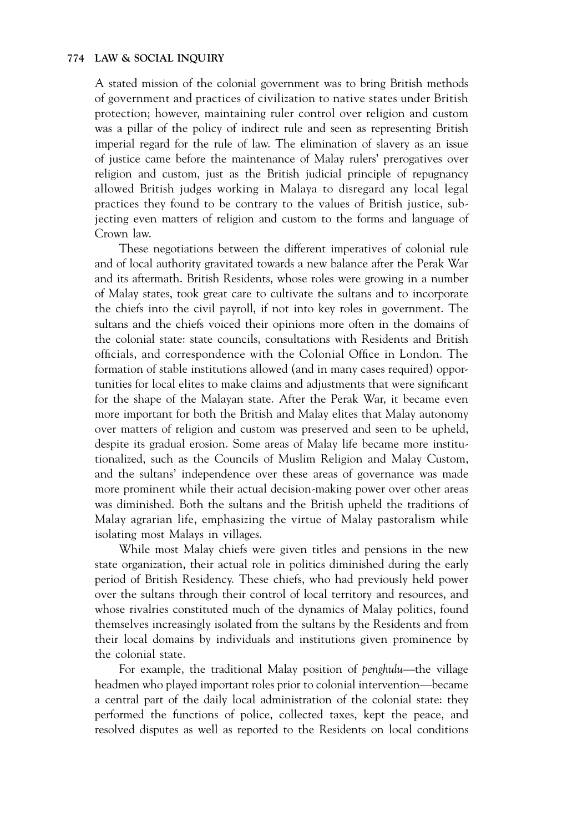A stated mission of the colonial government was to bring British methods of government and practices of civilization to native states under British protection; however, maintaining ruler control over religion and custom was a pillar of the policy of indirect rule and seen as representing British imperial regard for the rule of law. The elimination of slavery as an issue of justice came before the maintenance of Malay rulers' prerogatives over religion and custom, just as the British judicial principle of repugnancy allowed British judges working in Malaya to disregard any local legal practices they found to be contrary to the values of British justice, subjecting even matters of religion and custom to the forms and language of Crown law.

These negotiations between the different imperatives of colonial rule and of local authority gravitated towards a new balance after the Perak War and its aftermath. British Residents, whose roles were growing in a number of Malay states, took great care to cultivate the sultans and to incorporate the chiefs into the civil payroll, if not into key roles in government. The sultans and the chiefs voiced their opinions more often in the domains of the colonial state: state councils, consultations with Residents and British officials, and correspondence with the Colonial Office in London. The formation of stable institutions allowed (and in many cases required) opportunities for local elites to make claims and adjustments that were significant for the shape of the Malayan state. After the Perak War, it became even more important for both the British and Malay elites that Malay autonomy over matters of religion and custom was preserved and seen to be upheld, despite its gradual erosion. Some areas of Malay life became more institutionalized, such as the Councils of Muslim Religion and Malay Custom, and the sultans' independence over these areas of governance was made more prominent while their actual decision-making power over other areas was diminished. Both the sultans and the British upheld the traditions of Malay agrarian life, emphasizing the virtue of Malay pastoralism while isolating most Malays in villages.

While most Malay chiefs were given titles and pensions in the new state organization, their actual role in politics diminished during the early period of British Residency. These chiefs, who had previously held power over the sultans through their control of local territory and resources, and whose rivalries constituted much of the dynamics of Malay politics, found themselves increasingly isolated from the sultans by the Residents and from their local domains by individuals and institutions given prominence by the colonial state.

For example, the traditional Malay position of *penghulu*—the village headmen who played important roles prior to colonial intervention—became a central part of the daily local administration of the colonial state: they performed the functions of police, collected taxes, kept the peace, and resolved disputes as well as reported to the Residents on local conditions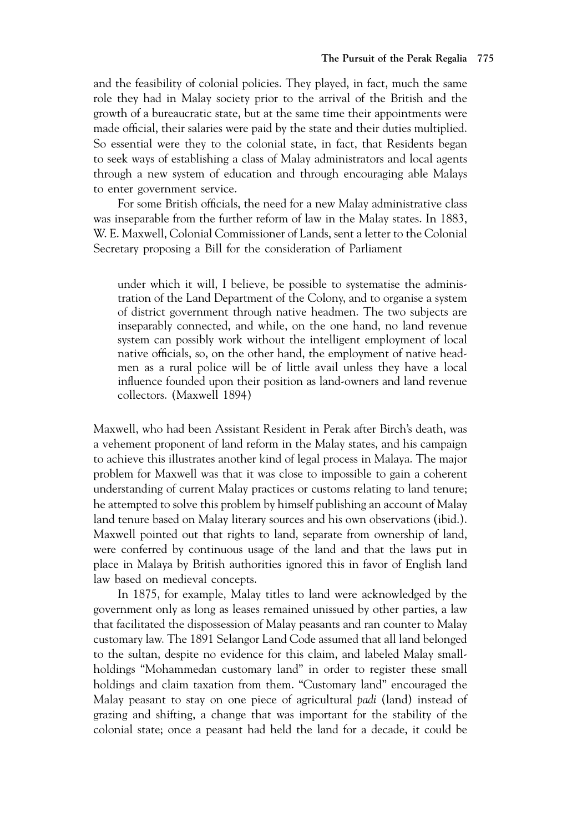and the feasibility of colonial policies. They played, in fact, much the same role they had in Malay society prior to the arrival of the British and the growth of a bureaucratic state, but at the same time their appointments were made official, their salaries were paid by the state and their duties multiplied. So essential were they to the colonial state, in fact, that Residents began to seek ways of establishing a class of Malay administrators and local agents through a new system of education and through encouraging able Malays to enter government service.

For some British officials, the need for a new Malay administrative class was inseparable from the further reform of law in the Malay states. In 1883, W. E. Maxwell, Colonial Commissioner of Lands, sent a letter to the Colonial Secretary proposing a Bill for the consideration of Parliament

under which it will, I believe, be possible to systematise the administration of the Land Department of the Colony, and to organise a system of district government through native headmen. The two subjects are inseparably connected, and while, on the one hand, no land revenue system can possibly work without the intelligent employment of local native officials, so, on the other hand, the employment of native headmen as a rural police will be of little avail unless they have a local influence founded upon their position as land-owners and land revenue collectors. (Maxwell 1894)

Maxwell, who had been Assistant Resident in Perak after Birch's death, was a vehement proponent of land reform in the Malay states, and his campaign to achieve this illustrates another kind of legal process in Malaya. The major problem for Maxwell was that it was close to impossible to gain a coherent understanding of current Malay practices or customs relating to land tenure; he attempted to solve this problem by himself publishing an account of Malay land tenure based on Malay literary sources and his own observations (ibid.). Maxwell pointed out that rights to land, separate from ownership of land, were conferred by continuous usage of the land and that the laws put in place in Malaya by British authorities ignored this in favor of English land law based on medieval concepts.

In 1875, for example, Malay titles to land were acknowledged by the government only as long as leases remained unissued by other parties, a law that facilitated the dispossession of Malay peasants and ran counter to Malay customary law. The 1891 Selangor Land Code assumed that all land belonged to the sultan, despite no evidence for this claim, and labeled Malay smallholdings "Mohammedan customary land" in order to register these small holdings and claim taxation from them. "Customary land" encouraged the Malay peasant to stay on one piece of agricultural *padi* (land) instead of grazing and shifting, a change that was important for the stability of the colonial state; once a peasant had held the land for a decade, it could be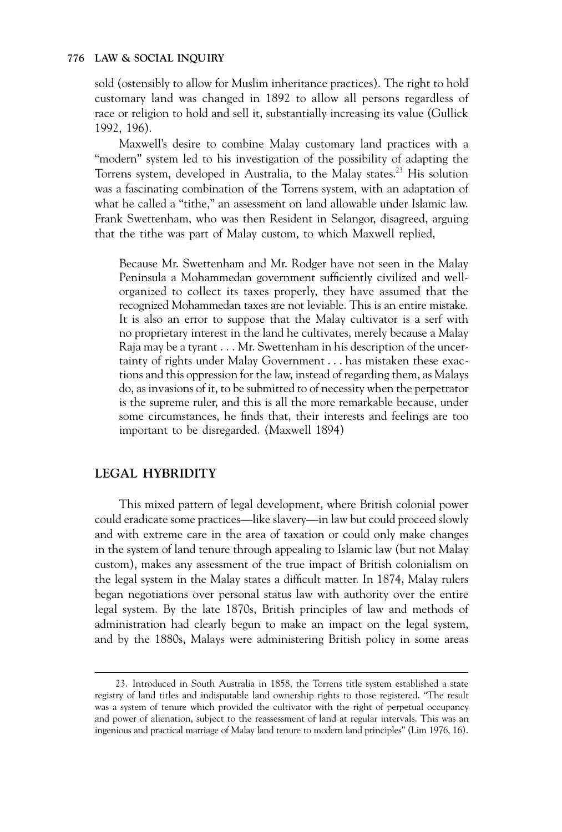sold (ostensibly to allow for Muslim inheritance practices). The right to hold customary land was changed in 1892 to allow all persons regardless of race or religion to hold and sell it, substantially increasing its value (Gullick 1992, 196).

Maxwell's desire to combine Malay customary land practices with a "modern" system led to his investigation of the possibility of adapting the Torrens system, developed in Australia, to the Malay states.<sup>23</sup> His solution was a fascinating combination of the Torrens system, with an adaptation of what he called a "tithe," an assessment on land allowable under Islamic law. Frank Swettenham, who was then Resident in Selangor, disagreed, arguing that the tithe was part of Malay custom, to which Maxwell replied,

Because Mr. Swettenham and Mr. Rodger have not seen in the Malay Peninsula a Mohammedan government sufficiently civilized and wellorganized to collect its taxes properly, they have assumed that the recognized Mohammedan taxes are not leviable. This is an entire mistake. It is also an error to suppose that the Malay cultivator is a serf with no proprietary interest in the land he cultivates, merely because a Malay Raja may be a tyrant . . . Mr. Swettenham in his description of the uncertainty of rights under Malay Government . . . has mistaken these exactions and this oppression for the law, instead of regarding them, as Malays do, as invasions of it, to be submitted to of necessity when the perpetrator is the supreme ruler, and this is all the more remarkable because, under some circumstances, he finds that, their interests and feelings are too important to be disregarded. (Maxwell 1894)

## **LEGAL HYBRIDITY**

This mixed pattern of legal development, where British colonial power could eradicate some practices—like slavery—in law but could proceed slowly and with extreme care in the area of taxation or could only make changes in the system of land tenure through appealing to Islamic law (but not Malay custom), makes any assessment of the true impact of British colonialism on the legal system in the Malay states a difficult matter. In 1874, Malay rulers began negotiations over personal status law with authority over the entire legal system. By the late 1870s, British principles of law and methods of administration had clearly begun to make an impact on the legal system, and by the 1880s, Malays were administering British policy in some areas

<sup>23.</sup> Introduced in South Australia in 1858, the Torrens title system established a state registry of land titles and indisputable land ownership rights to those registered. "The result was a system of tenure which provided the cultivator with the right of perpetual occupancy and power of alienation, subject to the reassessment of land at regular intervals. This was an ingenious and practical marriage of Malay land tenure to modern land principles" (Lim 1976, 16).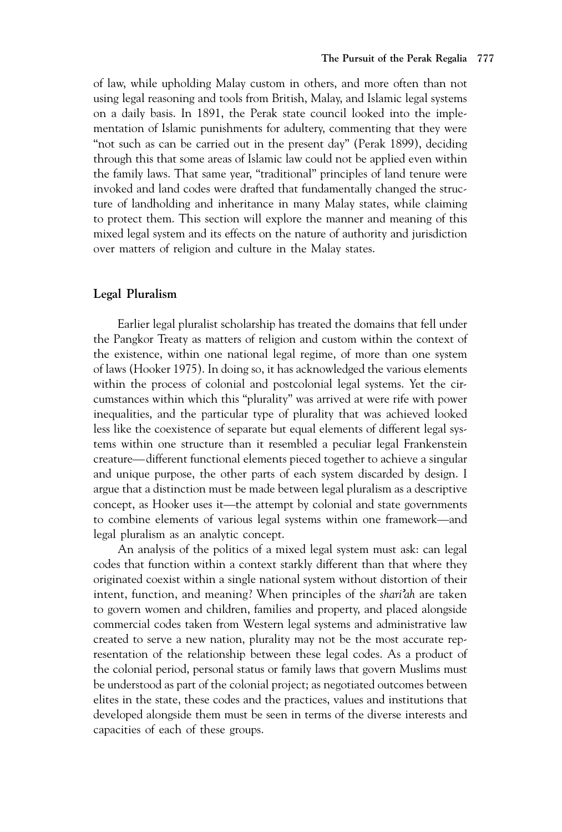of law, while upholding Malay custom in others, and more often than not using legal reasoning and tools from British, Malay, and Islamic legal systems on a daily basis. In 1891, the Perak state council looked into the implementation of Islamic punishments for adultery, commenting that they were "not such as can be carried out in the present day" (Perak 1899), deciding through this that some areas of Islamic law could not be applied even within the family laws. That same year, "traditional" principles of land tenure were invoked and land codes were drafted that fundamentally changed the structure of landholding and inheritance in many Malay states, while claiming to protect them. This section will explore the manner and meaning of this mixed legal system and its effects on the nature of authority and jurisdiction over matters of religion and culture in the Malay states.

## **Legal Pluralism**

Earlier legal pluralist scholarship has treated the domains that fell under the Pangkor Treaty as matters of religion and custom within the context of the existence, within one national legal regime, of more than one system of laws (Hooker 1975). In doing so, it has acknowledged the various elements within the process of colonial and postcolonial legal systems. Yet the circumstances within which this "plurality" was arrived at were rife with power inequalities, and the particular type of plurality that was achieved looked less like the coexistence of separate but equal elements of different legal systems within one structure than it resembled a peculiar legal Frankenstein creature—different functional elements pieced together to achieve a singular and unique purpose, the other parts of each system discarded by design. I argue that a distinction must be made between legal pluralism as a descriptive concept, as Hooker uses it—the attempt by colonial and state governments to combine elements of various legal systems within one framework—and legal pluralism as an analytic concept.

An analysis of the politics of a mixed legal system must ask: can legal codes that function within a context starkly different than that where they originated coexist within a single national system without distortion of their intent, function, and meaning? When principles of the *shari*<sup>2</sup>*ah* are taken to govern women and children, families and property, and placed alongside commercial codes taken from Western legal systems and administrative law created to serve a new nation, plurality may not be the most accurate representation of the relationship between these legal codes. As a product of the colonial period, personal status or family laws that govern Muslims must be understood as part of the colonial project; as negotiated outcomes between elites in the state, these codes and the practices, values and institutions that developed alongside them must be seen in terms of the diverse interests and capacities of each of these groups.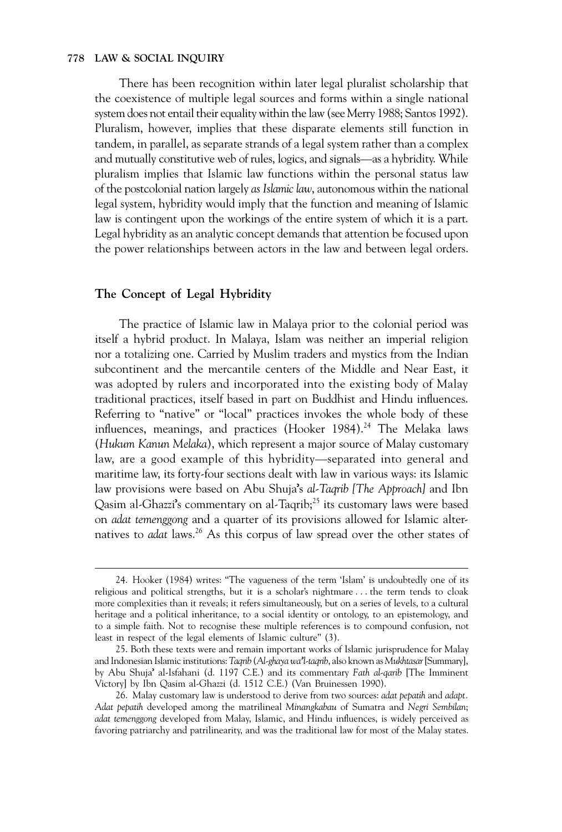There has been recognition within later legal pluralist scholarship that the coexistence of multiple legal sources and forms within a single national system does not entail their equality within the law (see Merry 1988; Santos 1992). Pluralism, however, implies that these disparate elements still function in tandem, in parallel, as separate strands of a legal system rather than a complex and mutually constitutive web of rules, logics, and signals—as a hybridity. While pluralism implies that Islamic law functions within the personal status law of the postcolonial nation largely *as Islamic law*, autonomous within the national legal system, hybridity would imply that the function and meaning of Islamic law is contingent upon the workings of the entire system of which it is a part. Legal hybridity as an analytic concept demands that attention be focused upon the power relationships between actors in the law and between legal orders.

## **The Concept of Legal Hybridity**

The practice of Islamic law in Malaya prior to the colonial period was itself a hybrid product. In Malaya, Islam was neither an imperial religion nor a totalizing one. Carried by Muslim traders and mystics from the Indian subcontinent and the mercantile centers of the Middle and Near East, it was adopted by rulers and incorporated into the existing body of Malay traditional practices, itself based in part on Buddhist and Hindu influences. Referring to "native" or "local" practices invokes the whole body of these influences, meanings, and practices (Hooker  $1984$ ).<sup>24</sup> The Melaka laws (*Hukum Kanun Melaka*), which represent a major source of Malay customary law, are a good example of this hybridity—separated into general and maritime law, its forty-four sections dealt with law in various ways: its Islamic law provisions were based on Abu Shuja's *al-Taqrib* [The Approach] and Ibn Qasim al-Ghazzi's commentary on al-Taqrib;<sup>25</sup> its customary laws were based on *adat temenggong* and a quarter of its provisions allowed for Islamic alternatives to *adat* laws.26 As this corpus of law spread over the other states of

<sup>24.</sup> Hooker (1984) writes: "The vagueness of the term 'Islam' is undoubtedly one of its religious and political strengths, but it is a scholar's nightmare . . . the term tends to cloak more complexities than it reveals; it refers simultaneously, but on a series of levels, to a cultural heritage and a political inheritance, to a social identity or ontology, to an epistemology, and to a simple faith. Not to recognise these multiple references is to compound confusion, not least in respect of the legal elements of Islamic culture" (3).

<sup>25.</sup> Both these texts were and remain important works of Islamic jurisprudence for Malay and Indonesian Islamic institutions: *Taqrib* (*Al-ghaya wa*}*l-taqrib*, also known as *Mukhtasar* [Summary], by Abu Shuja] al-Isfahani (d. 1197 C.E.) and its commentary *Fath al-qarib* [The Imminent Victory] by Ibn Qasim al-Ghazzi (d. 1512 C.E.) (Van Bruinessen 1990).

<sup>26.</sup> Malay customary law is understood to derive from two sources: *adat pepatih* and *adapt. Adat pepatih* developed among the matrilineal *Minangkabau* of Sumatra and *Negri Sembilan*; *adat temenggong* developed from Malay, Islamic, and Hindu influences, is widely perceived as favoring patriarchy and patrilinearity, and was the traditional law for most of the Malay states.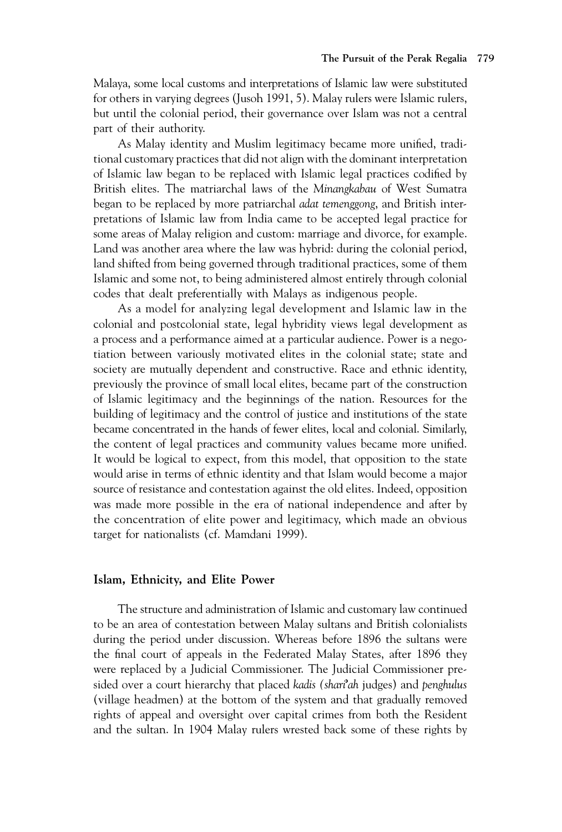Malaya, some local customs and interpretations of Islamic law were substituted for others in varying degrees (Jusoh 1991, 5). Malay rulers were Islamic rulers, but until the colonial period, their governance over Islam was not a central part of their authority.

As Malay identity and Muslim legitimacy became more unified, traditional customary practices that did not align with the dominant interpretation of Islamic law began to be replaced with Islamic legal practices codified by British elites. The matriarchal laws of the *Minangkabau* of West Sumatra began to be replaced by more patriarchal *adat temenggong*, and British interpretations of Islamic law from India came to be accepted legal practice for some areas of Malay religion and custom: marriage and divorce, for example. Land was another area where the law was hybrid: during the colonial period, land shifted from being governed through traditional practices, some of them Islamic and some not, to being administered almost entirely through colonial codes that dealt preferentially with Malays as indigenous people.

As a model for analyzing legal development and Islamic law in the colonial and postcolonial state, legal hybridity views legal development as a process and a performance aimed at a particular audience. Power is a negotiation between variously motivated elites in the colonial state; state and society are mutually dependent and constructive. Race and ethnic identity, previously the province of small local elites, became part of the construction of Islamic legitimacy and the beginnings of the nation. Resources for the building of legitimacy and the control of justice and institutions of the state became concentrated in the hands of fewer elites, local and colonial. Similarly, the content of legal practices and community values became more unified. It would be logical to expect, from this model, that opposition to the state would arise in terms of ethnic identity and that Islam would become a major source of resistance and contestation against the old elites. Indeed, opposition was made more possible in the era of national independence and after by the concentration of elite power and legitimacy, which made an obvious target for nationalists (cf. Mamdani 1999).

## **Islam, Ethnicity, and Elite Power**

The structure and administration of Islamic and customary law continued to be an area of contestation between Malay sultans and British colonialists during the period under discussion. Whereas before 1896 the sultans were the final court of appeals in the Federated Malay States, after 1896 they were replaced by a Judicial Commissioner. The Judicial Commissioner presided over a court hierarchy that placed *kadis (shari*]*ah* judges) and *penghulus* (village headmen) at the bottom of the system and that gradually removed rights of appeal and oversight over capital crimes from both the Resident and the sultan. In 1904 Malay rulers wrested back some of these rights by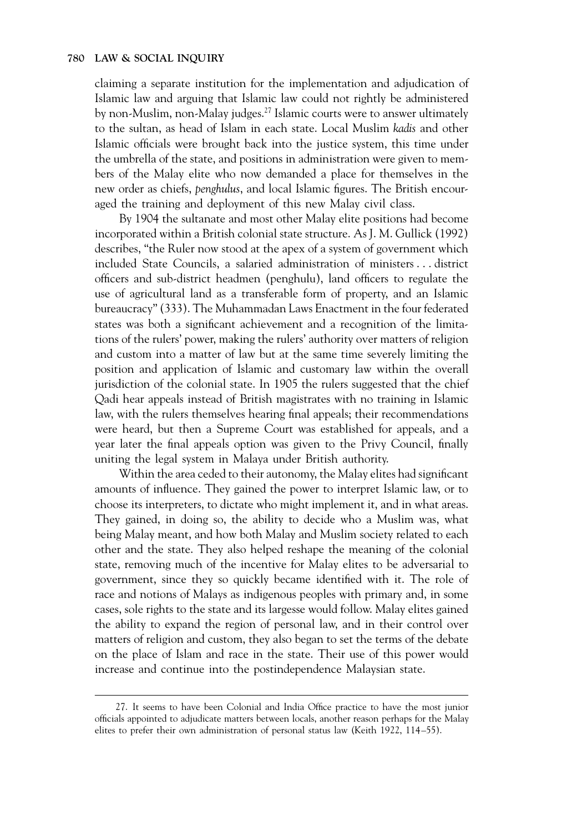claiming a separate institution for the implementation and adjudication of Islamic law and arguing that Islamic law could not rightly be administered by non-Muslim, non-Malay judges.27 Islamic courts were to answer ultimately to the sultan, as head of Islam in each state. Local Muslim *kadis* and other Islamic officials were brought back into the justice system, this time under the umbrella of the state, and positions in administration were given to members of the Malay elite who now demanded a place for themselves in the new order as chiefs, *penghulus*, and local Islamic figures. The British encouraged the training and deployment of this new Malay civil class.

By 1904 the sultanate and most other Malay elite positions had become incorporated within a British colonial state structure. As J. M. Gullick (1992) describes, "the Ruler now stood at the apex of a system of government which included State Councils, a salaried administration of ministers . . . district officers and sub-district headmen (penghulu), land officers to regulate the use of agricultural land as a transferable form of property, and an Islamic bureaucracy" (333). The Muhammadan Laws Enactment in the four federated states was both a significant achievement and a recognition of the limitations of the rulers' power, making the rulers' authority over matters of religion and custom into a matter of law but at the same time severely limiting the position and application of Islamic and customary law within the overall jurisdiction of the colonial state. In 1905 the rulers suggested that the chief Qadi hear appeals instead of British magistrates with no training in Islamic law, with the rulers themselves hearing final appeals; their recommendations were heard, but then a Supreme Court was established for appeals, and a year later the final appeals option was given to the Privy Council, finally uniting the legal system in Malaya under British authority.

Within the area ceded to their autonomy, the Malay elites had significant amounts of influence. They gained the power to interpret Islamic law, or to choose its interpreters, to dictate who might implement it, and in what areas. They gained, in doing so, the ability to decide who a Muslim was, what being Malay meant, and how both Malay and Muslim society related to each other and the state. They also helped reshape the meaning of the colonial state, removing much of the incentive for Malay elites to be adversarial to government, since they so quickly became identified with it. The role of race and notions of Malays as indigenous peoples with primary and, in some cases, sole rights to the state and its largesse would follow. Malay elites gained the ability to expand the region of personal law, and in their control over matters of religion and custom, they also began to set the terms of the debate on the place of Islam and race in the state. Their use of this power would increase and continue into the postindependence Malaysian state.

<sup>27.</sup> It seems to have been Colonial and India Office practice to have the most junior officials appointed to adjudicate matters between locals, another reason perhaps for the Malay elites to prefer their own administration of personal status law (Keith 1922, 114–55).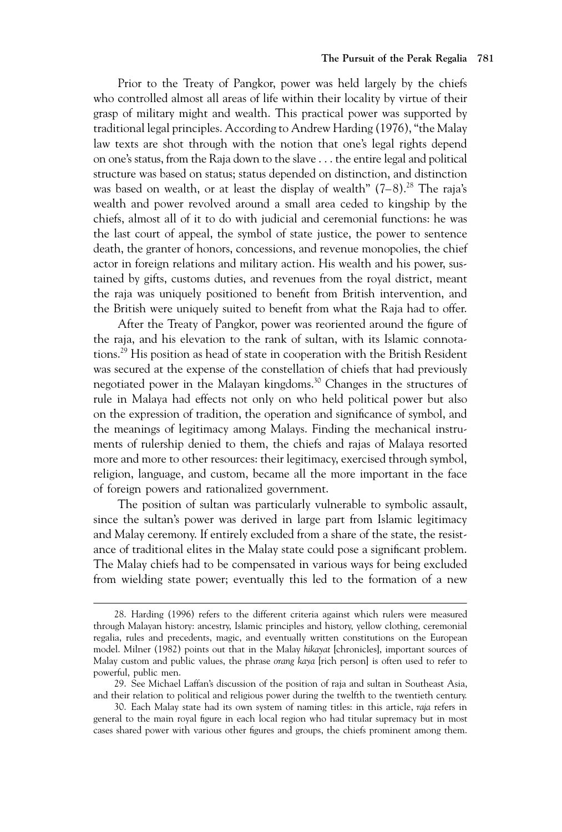Prior to the Treaty of Pangkor, power was held largely by the chiefs who controlled almost all areas of life within their locality by virtue of their grasp of military might and wealth. This practical power was supported by traditional legal principles. According to Andrew Harding (1976), "the Malay law texts are shot through with the notion that one's legal rights depend on one's status, from the Raja down to the slave . . . the entire legal and political structure was based on status; status depended on distinction, and distinction was based on wealth, or at least the display of wealth"  $(7-8).^{28}$  The raja's wealth and power revolved around a small area ceded to kingship by the chiefs, almost all of it to do with judicial and ceremonial functions: he was the last court of appeal, the symbol of state justice, the power to sentence death, the granter of honors, concessions, and revenue monopolies, the chief actor in foreign relations and military action. His wealth and his power, sustained by gifts, customs duties, and revenues from the royal district, meant the raja was uniquely positioned to benefit from British intervention, and the British were uniquely suited to benefit from what the Raja had to offer.

After the Treaty of Pangkor, power was reoriented around the figure of the raja, and his elevation to the rank of sultan, with its Islamic connotations.29 His position as head of state in cooperation with the British Resident was secured at the expense of the constellation of chiefs that had previously negotiated power in the Malayan kingdoms.<sup>30</sup> Changes in the structures of rule in Malaya had effects not only on who held political power but also on the expression of tradition, the operation and significance of symbol, and the meanings of legitimacy among Malays. Finding the mechanical instruments of rulership denied to them, the chiefs and rajas of Malaya resorted more and more to other resources: their legitimacy, exercised through symbol, religion, language, and custom, became all the more important in the face of foreign powers and rationalized government.

The position of sultan was particularly vulnerable to symbolic assault, since the sultan's power was derived in large part from Islamic legitimacy and Malay ceremony. If entirely excluded from a share of the state, the resistance of traditional elites in the Malay state could pose a significant problem. The Malay chiefs had to be compensated in various ways for being excluded from wielding state power; eventually this led to the formation of a new

<sup>28.</sup> Harding (1996) refers to the different criteria against which rulers were measured through Malayan history: ancestry, Islamic principles and history, yellow clothing, ceremonial regalia, rules and precedents, magic, and eventually written constitutions on the European model. Milner (1982) points out that in the Malay *hikayat* [chronicles], important sources of Malay custom and public values, the phrase *orang kaya* [rich person] is often used to refer to powerful, public men.

<sup>29.</sup> See Michael Laffan's discussion of the position of raja and sultan in Southeast Asia, and their relation to political and religious power during the twelfth to the twentieth century.

<sup>30.</sup> Each Malay state had its own system of naming titles: in this article, *raja* refers in general to the main royal figure in each local region who had titular supremacy but in most cases shared power with various other figures and groups, the chiefs prominent among them.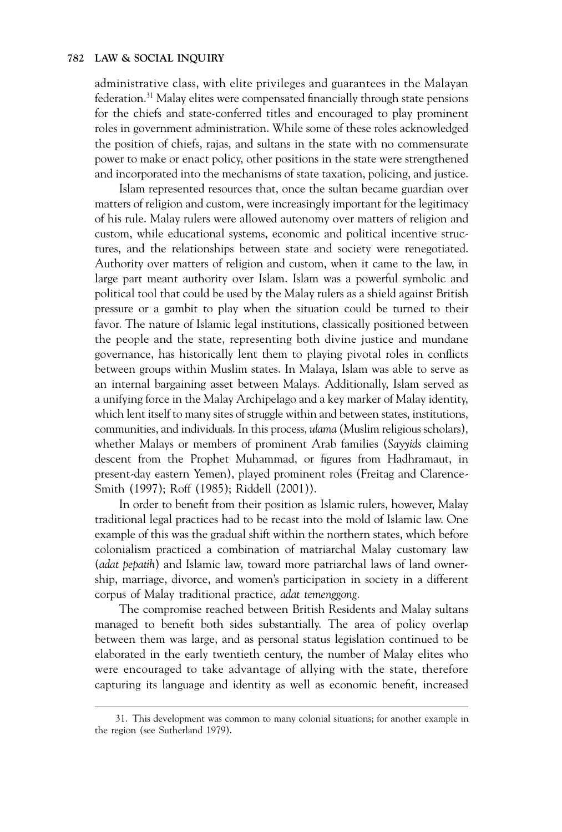administrative class, with elite privileges and guarantees in the Malayan federation.<sup>31</sup> Malay elites were compensated financially through state pensions for the chiefs and state-conferred titles and encouraged to play prominent roles in government administration. While some of these roles acknowledged the position of chiefs, rajas, and sultans in the state with no commensurate power to make or enact policy, other positions in the state were strengthened and incorporated into the mechanisms of state taxation, policing, and justice.

Islam represented resources that, once the sultan became guardian over matters of religion and custom, were increasingly important for the legitimacy of his rule. Malay rulers were allowed autonomy over matters of religion and custom, while educational systems, economic and political incentive structures, and the relationships between state and society were renegotiated. Authority over matters of religion and custom, when it came to the law, in large part meant authority over Islam. Islam was a powerful symbolic and political tool that could be used by the Malay rulers as a shield against British pressure or a gambit to play when the situation could be turned to their favor. The nature of Islamic legal institutions, classically positioned between the people and the state, representing both divine justice and mundane governance, has historically lent them to playing pivotal roles in conflicts between groups within Muslim states. In Malaya, Islam was able to serve as an internal bargaining asset between Malays. Additionally, Islam served as a unifying force in the Malay Archipelago and a key marker of Malay identity, which lent itself to many sites of struggle within and between states, institutions, communities, and individuals. In this process, *ulama* (Muslim religious scholars), whether Malays or members of prominent Arab families (*Sayyids* claiming descent from the Prophet Muhammad, or figures from Hadhramaut, in present-day eastern Yemen), played prominent roles (Freitag and Clarence-Smith (1997); Roff (1985); Riddell (2001)).

In order to benefit from their position as Islamic rulers, however, Malay traditional legal practices had to be recast into the mold of Islamic law. One example of this was the gradual shift within the northern states, which before colonialism practiced a combination of matriarchal Malay customary law (*adat pepatih*) and Islamic law, toward more patriarchal laws of land ownership, marriage, divorce, and women's participation in society in a different corpus of Malay traditional practice, *adat temenggong*.

The compromise reached between British Residents and Malay sultans managed to benefit both sides substantially. The area of policy overlap between them was large, and as personal status legislation continued to be elaborated in the early twentieth century, the number of Malay elites who were encouraged to take advantage of allying with the state, therefore capturing its language and identity as well as economic benefit, increased

<sup>31.</sup> This development was common to many colonial situations; for another example in the region (see Sutherland 1979).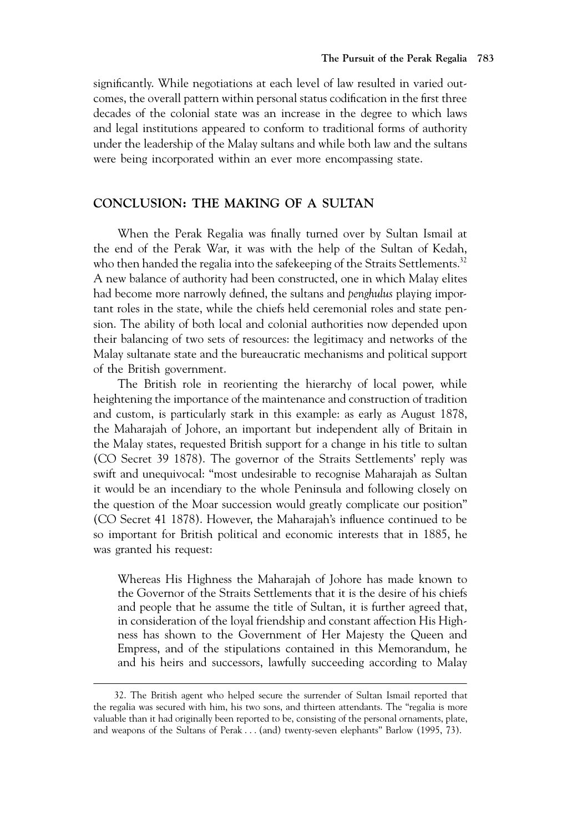significantly. While negotiations at each level of law resulted in varied outcomes, the overall pattern within personal status codification in the first three decades of the colonial state was an increase in the degree to which laws and legal institutions appeared to conform to traditional forms of authority under the leadership of the Malay sultans and while both law and the sultans were being incorporated within an ever more encompassing state.

## **CONCLUSION: THE MAKING OF A SULTAN**

When the Perak Regalia was finally turned over by Sultan Ismail at the end of the Perak War, it was with the help of the Sultan of Kedah, who then handed the regalia into the safekeeping of the Straits Settlements.<sup>32</sup> A new balance of authority had been constructed, one in which Malay elites had become more narrowly defined, the sultans and *penghulus* playing important roles in the state, while the chiefs held ceremonial roles and state pension. The ability of both local and colonial authorities now depended upon their balancing of two sets of resources: the legitimacy and networks of the Malay sultanate state and the bureaucratic mechanisms and political support of the British government.

The British role in reorienting the hierarchy of local power, while heightening the importance of the maintenance and construction of tradition and custom, is particularly stark in this example: as early as August 1878, the Maharajah of Johore, an important but independent ally of Britain in the Malay states, requested British support for a change in his title to sultan (CO Secret 39 1878). The governor of the Straits Settlements' reply was swift and unequivocal: "most undesirable to recognise Maharajah as Sultan it would be an incendiary to the whole Peninsula and following closely on the question of the Moar succession would greatly complicate our position" (CO Secret 41 1878). However, the Maharajah's influence continued to be so important for British political and economic interests that in 1885, he was granted his request:

Whereas His Highness the Maharajah of Johore has made known to the Governor of the Straits Settlements that it is the desire of his chiefs and people that he assume the title of Sultan, it is further agreed that, in consideration of the loyal friendship and constant affection His Highness has shown to the Government of Her Majesty the Queen and Empress, and of the stipulations contained in this Memorandum, he and his heirs and successors, lawfully succeeding according to Malay

<sup>32.</sup> The British agent who helped secure the surrender of Sultan Ismail reported that the regalia was secured with him, his two sons, and thirteen attendants. The "regalia is more valuable than it had originally been reported to be, consisting of the personal ornaments, plate, and weapons of the Sultans of Perak . . . (and) twenty-seven elephants" Barlow (1995, 73).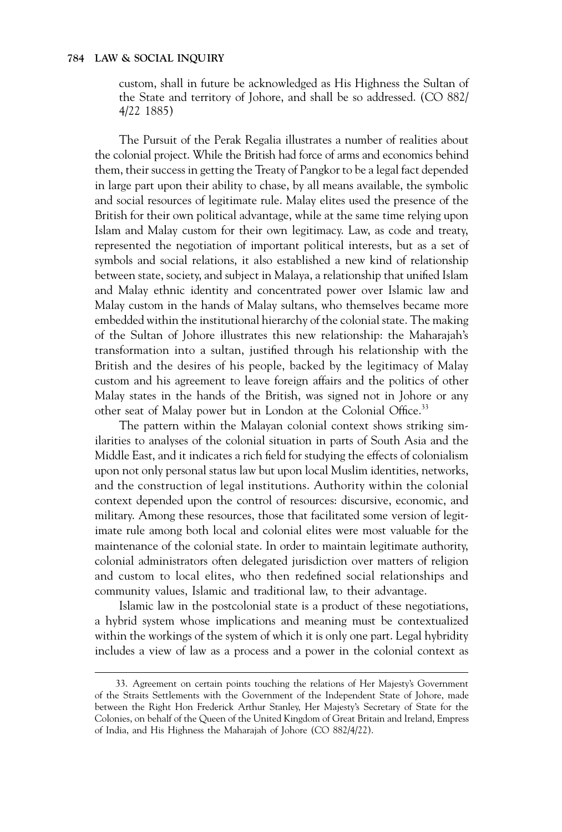custom, shall in future be acknowledged as His Highness the Sultan of the State and territory of Johore, and shall be so addressed. (CO 882/ 4/22 1885)

The Pursuit of the Perak Regalia illustrates a number of realities about the colonial project. While the British had force of arms and economics behind them, their success in getting the Treaty of Pangkor to be a legal fact depended in large part upon their ability to chase, by all means available, the symbolic and social resources of legitimate rule. Malay elites used the presence of the British for their own political advantage, while at the same time relying upon Islam and Malay custom for their own legitimacy. Law, as code and treaty, represented the negotiation of important political interests, but as a set of symbols and social relations, it also established a new kind of relationship between state, society, and subject in Malaya, a relationship that unified Islam and Malay ethnic identity and concentrated power over Islamic law and Malay custom in the hands of Malay sultans, who themselves became more embedded within the institutional hierarchy of the colonial state. The making of the Sultan of Johore illustrates this new relationship: the Maharajah's transformation into a sultan, justified through his relationship with the British and the desires of his people, backed by the legitimacy of Malay custom and his agreement to leave foreign affairs and the politics of other Malay states in the hands of the British, was signed not in Johore or any other seat of Malay power but in London at the Colonial Office.<sup>33</sup>

The pattern within the Malayan colonial context shows striking similarities to analyses of the colonial situation in parts of South Asia and the Middle East, and it indicates a rich field for studying the effects of colonialism upon not only personal status law but upon local Muslim identities, networks, and the construction of legal institutions. Authority within the colonial context depended upon the control of resources: discursive, economic, and military. Among these resources, those that facilitated some version of legitimate rule among both local and colonial elites were most valuable for the maintenance of the colonial state. In order to maintain legitimate authority, colonial administrators often delegated jurisdiction over matters of religion and custom to local elites, who then redefined social relationships and community values, Islamic and traditional law, to their advantage.

Islamic law in the postcolonial state is a product of these negotiations, a hybrid system whose implications and meaning must be contextualized within the workings of the system of which it is only one part. Legal hybridity includes a view of law as a process and a power in the colonial context as

<sup>33.</sup> Agreement on certain points touching the relations of Her Majesty's Government of the Straits Settlements with the Government of the Independent State of Johore, made between the Right Hon Frederick Arthur Stanley, Her Majesty's Secretary of State for the Colonies, on behalf of the Queen of the United Kingdom of Great Britain and Ireland, Empress of India, and His Highness the Maharajah of Johore (CO 882/4/22).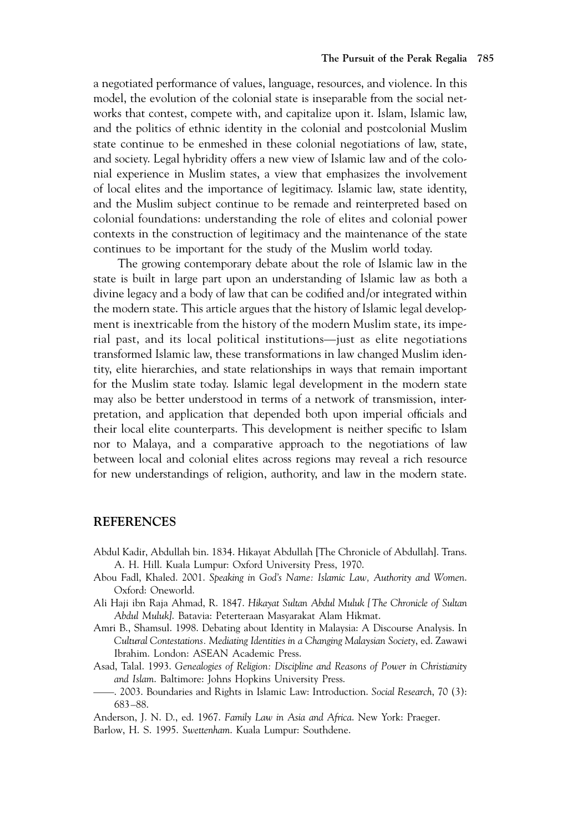a negotiated performance of values, language, resources, and violence. In this model, the evolution of the colonial state is inseparable from the social networks that contest, compete with, and capitalize upon it. Islam, Islamic law, and the politics of ethnic identity in the colonial and postcolonial Muslim state continue to be enmeshed in these colonial negotiations of law, state, and society. Legal hybridity offers a new view of Islamic law and of the colonial experience in Muslim states, a view that emphasizes the involvement of local elites and the importance of legitimacy. Islamic law, state identity, and the Muslim subject continue to be remade and reinterpreted based on colonial foundations: understanding the role of elites and colonial power contexts in the construction of legitimacy and the maintenance of the state continues to be important for the study of the Muslim world today.

The growing contemporary debate about the role of Islamic law in the state is built in large part upon an understanding of Islamic law as both a divine legacy and a body of law that can be codified and/or integrated within the modern state. This article argues that the history of Islamic legal development is inextricable from the history of the modern Muslim state, its imperial past, and its local political institutions—just as elite negotiations transformed Islamic law, these transformations in law changed Muslim identity, elite hierarchies, and state relationships in ways that remain important for the Muslim state today. Islamic legal development in the modern state may also be better understood in terms of a network of transmission, interpretation, and application that depended both upon imperial officials and their local elite counterparts. This development is neither specific to Islam nor to Malaya, and a comparative approach to the negotiations of law between local and colonial elites across regions may reveal a rich resource for new understandings of religion, authority, and law in the modern state.

## **REFERENCES**

- Abdul Kadir, Abdullah bin. 1834. Hikayat Abdullah [The Chronicle of Abdullah]. Trans. A. H. Hill. Kuala Lumpur: Oxford University Press, 1970.
- Abou Fadl, Khaled. 2001. *Speaking in God's Name: Islamic Law, Authority and Women*. Oxford: Oneworld.
- Ali Haji ibn Raja Ahmad, R. 1847. *Hikayat Sultan Abdul Muluk [The Chronicle of Sultan Abdul Muluk]*. Batavia: Peterteraan Masyarakat Alam Hikmat.
- Amri B., Shamsul. 1998. Debating about Identity in Malaysia: A Discourse Analysis. In *Cultural Contestations. Mediating Identities in a Changing Malaysian Society*, ed. Zawawi Ibrahim. London: ASEAN Academic Press.
- Asad, Talal. 1993. *Genealogies of Religion: Discipline and Reasons of Power in Christianity and Islam*. Baltimore: Johns Hopkins University Press.
- ——. 2003. Boundaries and Rights in Islamic Law: Introduction. *Social Research*, 70 (3): 683–88.

Anderson, J. N. D., ed. 1967. *Family Law in Asia and Africa*. New York: Praeger.

Barlow, H. S. 1995. *Swettenham*. Kuala Lumpur: Southdene.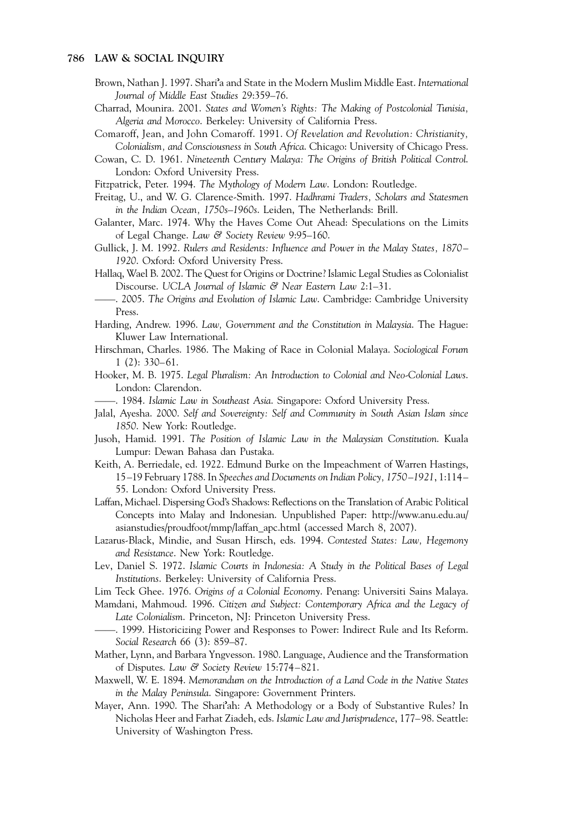- Brown, Nathan J. 1997. Shari'a and State in the Modern Muslim Middle East. *International Journal of Middle East Studies* 29:359–76.
- Charrad, Mounira. 2001. *States and Women's Rights: The Making of Postcolonial Tunisia, Algeria and Morocco*. Berkeley: University of California Press.
- Comaroff, Jean, and John Comaroff. 1991. *Of Revelation and Revolution: Christianity, Colonialism, and Consciousness in South Africa*. Chicago: University of Chicago Press.
- Cowan, C. D. 1961. *Nineteenth Century Malaya: The Origins of British Political Control*. London: Oxford University Press.
- Fitzpatrick, Peter. 1994. *The Mythology of Modern Law*. London: Routledge.
- Freitag, U., and W. G. Clarence-Smith. 1997. *Hadhrami Traders, Scholars and Statesmen in the Indian Ocean, 1750s–1960s*. Leiden, The Netherlands: Brill.
- Galanter, Marc. 1974. Why the Haves Come Out Ahead: Speculations on the Limits of Legal Change. *Law & Society Review* 9:95–160.
- Gullick, J. M. 1992. *Rulers and Residents: Influence and Power in the Malay States, 1870– 1920*. Oxford: Oxford University Press.
- Hallaq, Wael B. 2002. The Quest for Origins or Doctrine? Islamic Legal Studies as Colonialist Discourse. *UCLA Journal of Islamic & Near Eastern Law* 2:1–31.
- ——. 2005. *The Origins and Evolution of Islamic Law*. Cambridge: Cambridge University Press.
- Harding, Andrew. 1996. *Law, Government and the Constitution in Malaysia*. The Hague: Kluwer Law International.
- Hirschman, Charles. 1986. The Making of Race in Colonial Malaya. *Sociological Forum* 1 (2): 330–61.
- Hooker, M. B. 1975. *Legal Pluralism: An Introduction to Colonial and Neo-Colonial Laws*. London: Clarendon.
- ——. 1984. *Islamic Law in Southeast Asia*. Singapore: Oxford University Press.
- Jalal, Ayesha. 2000. *Self and Sovereignty: Self and Community in South Asian Islam since 1850*. New York: Routledge.
- Jusoh, Hamid. 1991. *The Position of Islamic Law in the Malaysian Constitution*. Kuala Lumpur: Dewan Bahasa dan Pustaka.
- Keith, A. Berriedale, ed. 1922. Edmund Burke on the Impeachment of Warren Hastings, 15–19 February 1788. In *Speeches and Documents on Indian Policy, 1750–1921*, 1:114– 55. London: Oxford University Press.
- Laffan, Michael. Dispersing God's Shadows: Reflections on the Translation of Arabic Political Concepts into Malay and Indonesian. Unpublished Paper: <http://www.anu.edu.au/> asianstudies/proudfoot/mmp/laffan\_apc.html (accessed March 8, 2007).
- Lazarus-Black, Mindie, and Susan Hirsch, eds. 1994. *Contested States: Law, Hegemony and Resistance*. New York: Routledge.
- Lev, Daniel S. 1972. *Islamic Courts in Indonesia: A Study in the Political Bases of Legal Institutions*. Berkeley: University of California Press.
- Lim Teck Ghee. 1976. *Origins of a Colonial Economy*. Penang: Universiti Sains Malaya.
- Mamdani, Mahmoud. 1996. *Citizen and Subject: Contemporary Africa and the Legacy of Late Colonialism*. Princeton, NJ: Princeton University Press.
- ——. 1999. Historicizing Power and Responses to Power: Indirect Rule and Its Reform. *Social Research* 66 (3): 859–87.
- Mather, Lynn, and Barbara Yngvesson. 1980. Language, Audience and the Transformation of Disputes. *Law & Society Review* 15:774–821.
- Maxwell, W. E. 1894. *Memorandum on the Introduction of a Land Code in the Native States in the Malay Peninsula*. Singapore: Government Printers.
- Mayer, Ann. 1990. The Shari'ah: A Methodology or a Body of Substantive Rules? In Nicholas Heer and Farhat Ziadeh, eds. *Islamic Law and Jurisprudence*, 177–98. Seattle: University of Washington Press.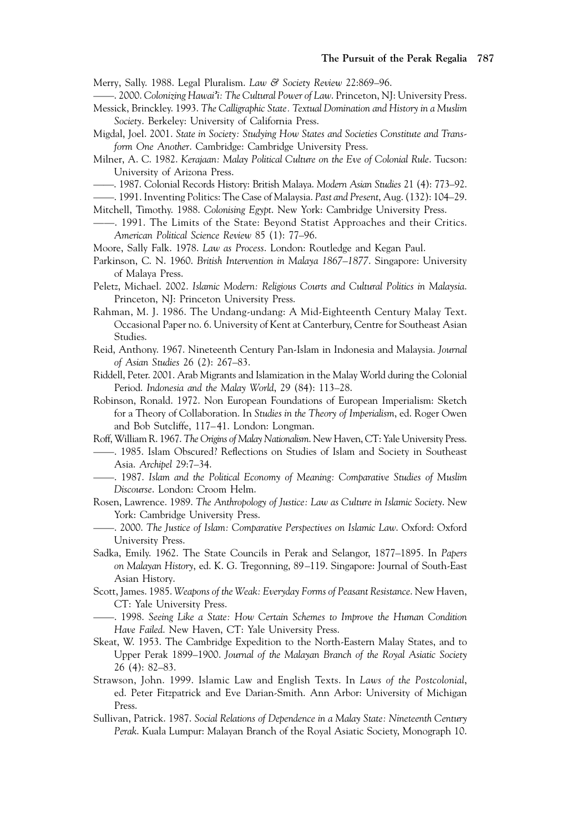Merry, Sally. 1988. Legal Pluralism. *Law & Society Review* 22:869–96.

- —. 2000. Colonizing Hawai<sup>2</sup>i: The Cultural Power of Law. Princeton, NJ: University Press.
- Messick, Brinckley. 1993. *The Calligraphic State. Textual Domination and History in a Muslim Society*. Berkeley: University of California Press.
- Migdal, Joel. 2001. *State in Society: Studying How States and Societies Constitute and Transform One Another*. Cambridge: Cambridge University Press.
- Milner, A. C. 1982. *Kerajaan: Malay Political Culture on the Eve of Colonial Rule*. Tucson: University of Arizona Press.
	- ——. 1987. Colonial Records History: British Malaya. *Modern Asian Studies* 21 (4): 773–92.
- ——. 1991. Inventing Politics: The Case of Malaysia. *Past and Present*, Aug. (132): 104–29.
- Mitchell, Timothy. 1988. *Colonising Egypt*. New York: Cambridge University Press.
- ——. 1991. The Limits of the State: Beyond Statist Approaches and their Critics. *American Political Science Review* 85 (1): 77–96.
- Moore, Sally Falk. 1978. *Law as Process*. London: Routledge and Kegan Paul.
- Parkinson, C. N. 1960. *British Intervention in Malaya 1867–1877*. Singapore: University of Malaya Press.
- Peletz, Michael. 2002. *Islamic Modern: Religious Courts and Cultural Politics in Malaysia*. Princeton, NJ: Princeton University Press.
- Rahman, M. J. 1986. The Undang-undang: A Mid-Eighteenth Century Malay Text. Occasional Paper no. 6. University of Kent at Canterbury, Centre for Southeast Asian Studies.
- Reid, Anthony. 1967. Nineteenth Century Pan-Islam in Indonesia and Malaysia. *Journal of Asian Studies* 26 (2): 267–83.
- Riddell, Peter. 2001. Arab Migrants and Islamization in the Malay World during the Colonial Period. *Indonesia and the Malay World*, 29 (84): 113–28.
- Robinson, Ronald. 1972. Non European Foundations of European Imperialism: Sketch for a Theory of Collaboration. In *Studies in the Theory of Imperialism*, ed. Roger Owen and Bob Sutcliffe, 117–41. London: Longman.

Roff, William R. 1967. *The Origins of Malay Nationalism*. New Haven, CT: Yale University Press. ——. 1985. Islam Obscured? Reflections on Studies of Islam and Society in Southeast Asia. *Archipel* 29:7–34.

- ——. 1987. *Islam and the Political Economy of Meaning: Comparative Studies of Muslim Discourse*. London: Croom Helm.
- Rosen, Lawrence. 1989. *The Anthropology of Justice: Law as Culture in Islamic Society*. New York: Cambridge University Press.
- ——. 2000. *The Justice of Islam: Comparative Perspectives on Islamic Law*. Oxford: Oxford University Press.
- Sadka, Emily. 1962. The State Councils in Perak and Selangor, 1877–1895. In *Papers on Malayan History*, ed. K. G. Tregonning, 89–119. Singapore: Journal of South-East Asian History.
- Scott, James. 1985. *Weapons of the Weak: Everyday Forms of Peasant Resistance*. New Haven, CT: Yale University Press.
- ——. 1998. *Seeing Like a State: How Certain Schemes to Improve the Human Condition Have Failed*. New Haven, CT: Yale University Press.
- Skeat, W. 1953. The Cambridge Expedition to the North-Eastern Malay States, and to Upper Perak 1899–1900. *Journal of the Malayan Branch of the Royal Asiatic Society* 26 (4): 82–83.
- Strawson, John. 1999. Islamic Law and English Texts. In *Laws of the Postcolonial*, ed. Peter Fitzpatrick and Eve Darian-Smith. Ann Arbor: University of Michigan Press.
- Sullivan, Patrick. 1987. *Social Relations of Dependence in a Malay State: Nineteenth Century Perak*. Kuala Lumpur: Malayan Branch of the Royal Asiatic Society, Monograph 10.